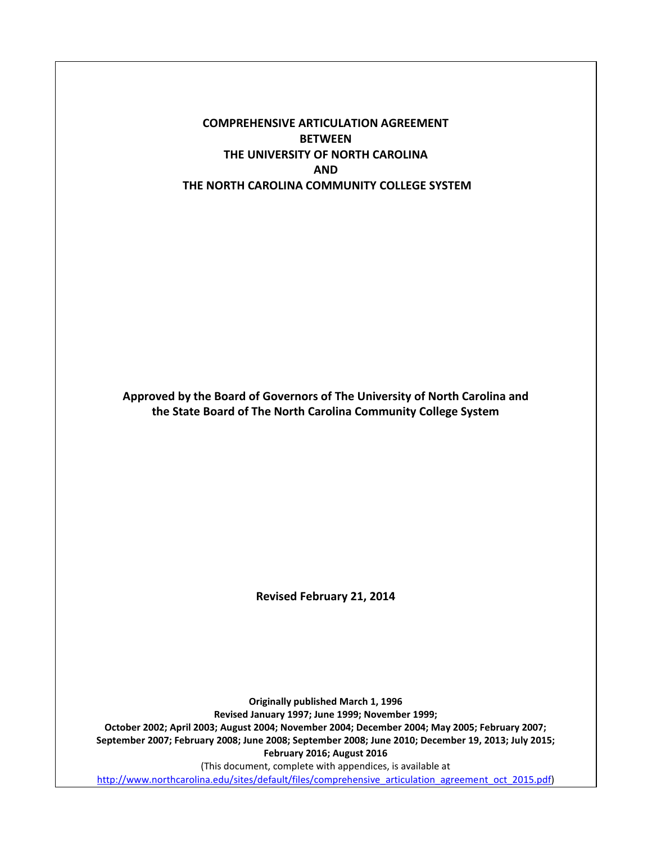### **COMPREHENSIVE ARTICULATION AGREEMENT BETWEEN THE UNIVERSITY OF NORTH CAROLINA AND THE NORTH CAROLINA COMMUNITY COLLEGE SYSTEM**

**Approved by the Board of Governors of The University of North Carolina and the State Board of The North Carolina Community College System**

**Revised February 21, 2014**

**Originally published March 1, 1996 Revised January 1997; June 1999; November 1999; October 2002; April 2003; August 2004; November 2004; December 2004; May 2005; February 2007; September 2007; February 2008; June 2008; September 2008; June 2010; December 19, 2013; July 2015; February 2016; August 2016** (This document, complete with appendices, is available at [http://www.northcarolina.edu/sites/default/files/comprehensive\\_articulation\\_agreement\\_oct\\_2015.pdf\)](http://www.northcarolina.edu/sites/default/files/comprehensive_articulation_agreement_oct_2015.pdf)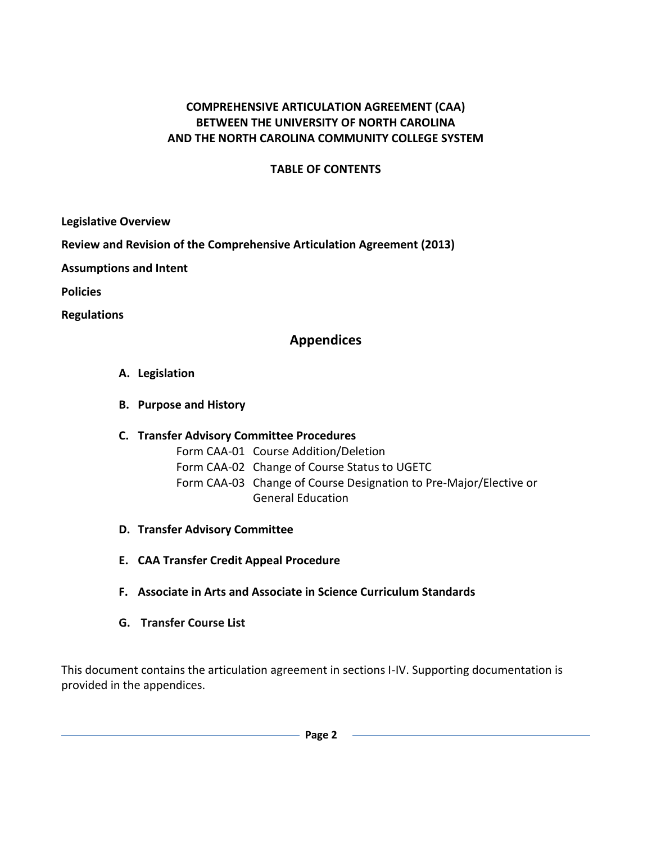### **COMPREHENSIVE ARTICULATION AGREEMENT (CAA) BETWEEN THE UNIVERSITY OF NORTH CAROLINA AND THE NORTH CAROLINA COMMUNITY COLLEGE SYSTEM**

### **TABLE OF CONTENTS**

**[Legislative](#page-2-0) Overview**

**[Review and Revision of the Comprehensive Articulation Agreement \(2013\)](#page-2-1)**

**[Assumptions and Intent](#page-3-0)**

**[Policies](#page-3-1)**

**[Regulations](#page-5-0)**

### **[Appendices](#page-10-0)**

- **A. [Legislation](#page-11-0)**
- **B. [Purpose and History](#page-14-0)**

### **C. [Transfer Advisory Committee Procedures](#page-16-0)**

- Form CAA-01 Course Addition/Deletion
- Form CAA-02 Change of Course Status to UGETC
- Form CAA-03 Change of Course Designation to Pre-Major/Elective or General Education
- **D. [Transfer Advisory Committee](#page-26-0)**
- **E. [CAA Transfer Credit Appeal Procedure](#page-27-0)**
- **F. [Associate in Arts and Associate in Science Curriculum Standards](#page-29-0)**
- **G. Transfer Course List**

This document contains the articulation agreement in sections I-IV. Supporting documentation is provided in the appendices.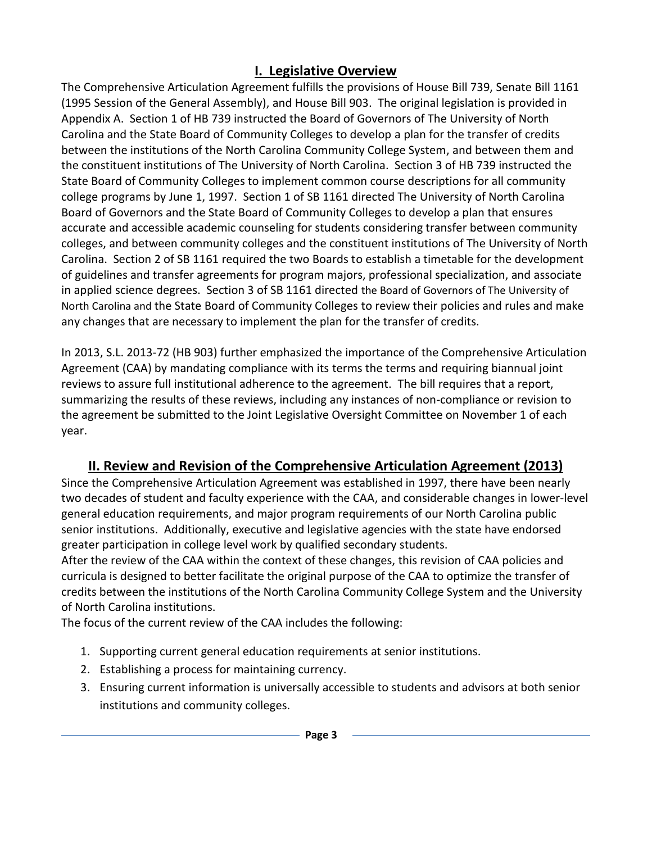# **I. Legislative Overview**

<span id="page-2-0"></span>The Comprehensive Articulation Agreement fulfills the provisions of House Bill 739, Senate Bill 1161 (1995 Session of the General Assembly), and House Bill 903. The original legislation is provided in Appendix A. Section 1 of HB 739 instructed the Board of Governors of The University of North Carolina and the State Board of Community Colleges to develop a plan for the transfer of credits between the institutions of the North Carolina Community College System, and between them and the constituent institutions of The University of North Carolina. Section 3 of HB 739 instructed the State Board of Community Colleges to implement common course descriptions for all community college programs by June 1, 1997. Section 1 of SB 1161 directed The University of North Carolina Board of Governors and the State Board of Community Colleges to develop a plan that ensures accurate and accessible academic counseling for students considering transfer between community colleges, and between community colleges and the constituent institutions of The University of North Carolina. Section 2 of SB 1161 required the two Boards to establish a timetable for the development of guidelines and transfer agreements for program majors, professional specialization, and associate in applied science degrees. Section 3 of SB 1161 directed the Board of Governors of The University of North Carolina and the State Board of Community Colleges to review their policies and rules and make any changes that are necessary to implement the plan for the transfer of credits.

In 2013, S.L. 2013-72 (HB 903) further emphasized the importance of the Comprehensive Articulation Agreement (CAA) by mandating compliance with its terms the terms and requiring biannual joint reviews to assure full institutional adherence to the agreement. The bill requires that a report, summarizing the results of these reviews, including any instances of non-compliance or revision to the agreement be submitted to the Joint Legislative Oversight Committee on November 1 of each year.

# **II. Review and Revision of the Comprehensive Articulation Agreement (2013)**

<span id="page-2-1"></span>Since the Comprehensive Articulation Agreement was established in 1997, there have been nearly two decades of student and faculty experience with the CAA, and considerable changes in lower-level general education requirements, and major program requirements of our North Carolina public senior institutions. Additionally, executive and legislative agencies with the state have endorsed greater participation in college level work by qualified secondary students.

After the review of the CAA within the context of these changes, this revision of CAA policies and curricula is designed to better facilitate the original purpose of the CAA to optimize the transfer of credits between the institutions of the North Carolina Community College System and the University of North Carolina institutions.

The focus of the current review of the CAA includes the following:

- 1. Supporting current general education requirements at senior institutions.
- 2. Establishing a process for maintaining currency.
- 3. Ensuring current information is universally accessible to students and advisors at both senior institutions and community colleges.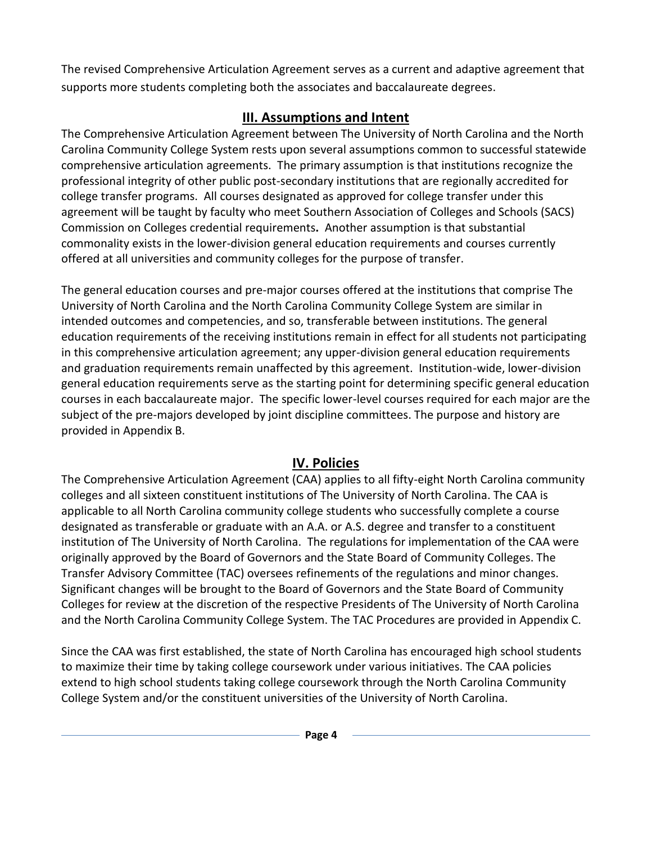The revised Comprehensive Articulation Agreement serves as a current and adaptive agreement that supports more students completing both the associates and baccalaureate degrees.

# **III. Assumptions and Intent**

<span id="page-3-0"></span>The Comprehensive Articulation Agreement between The University of North Carolina and the North Carolina Community College System rests upon several assumptions common to successful statewide comprehensive articulation agreements. The primary assumption is that institutions recognize the professional integrity of other public post-secondary institutions that are regionally accredited for college transfer programs. All courses designated as approved for college transfer under this agreement will be taught by faculty who meet Southern Association of Colleges and Schools (SACS) Commission on Colleges credential requirements**.** Another assumption is that substantial commonality exists in the lower-division general education requirements and courses currently offered at all universities and community colleges for the purpose of transfer.

The general education courses and pre-major courses offered at the institutions that comprise The University of North Carolina and the North Carolina Community College System are similar in intended outcomes and competencies, and so, transferable between institutions. The general education requirements of the receiving institutions remain in effect for all students not participating in this comprehensive articulation agreement; any upper-division general education requirements and graduation requirements remain unaffected by this agreement. Institution-wide, lower-division general education requirements serve as the starting point for determining specific general education courses in each baccalaureate major. The specific lower-level courses required for each major are the subject of the pre-majors developed by joint discipline committees. The purpose and history are provided in Appendix B.

# **IV. Policies**

<span id="page-3-1"></span>The Comprehensive Articulation Agreement (CAA) applies to all fifty-eight North Carolina community colleges and all sixteen constituent institutions of The University of North Carolina. The CAA is applicable to all North Carolina community college students who successfully complete a course designated as transferable or graduate with an A.A. or A.S. degree and transfer to a constituent institution of The University of North Carolina. The regulations for implementation of the CAA were originally approved by the Board of Governors and the State Board of Community Colleges. The Transfer Advisory Committee (TAC) oversees refinements of the regulations and minor changes. Significant changes will be brought to the Board of Governors and the State Board of Community Colleges for review at the discretion of the respective Presidents of The University of North Carolina and the North Carolina Community College System. The TAC Procedures are provided in Appendix C.

Since the CAA was first established, the state of North Carolina has encouraged high school students to maximize their time by taking college coursework under various initiatives. The CAA policies extend to high school students taking college coursework through the North Carolina Community College System and/or the constituent universities of the University of North Carolina.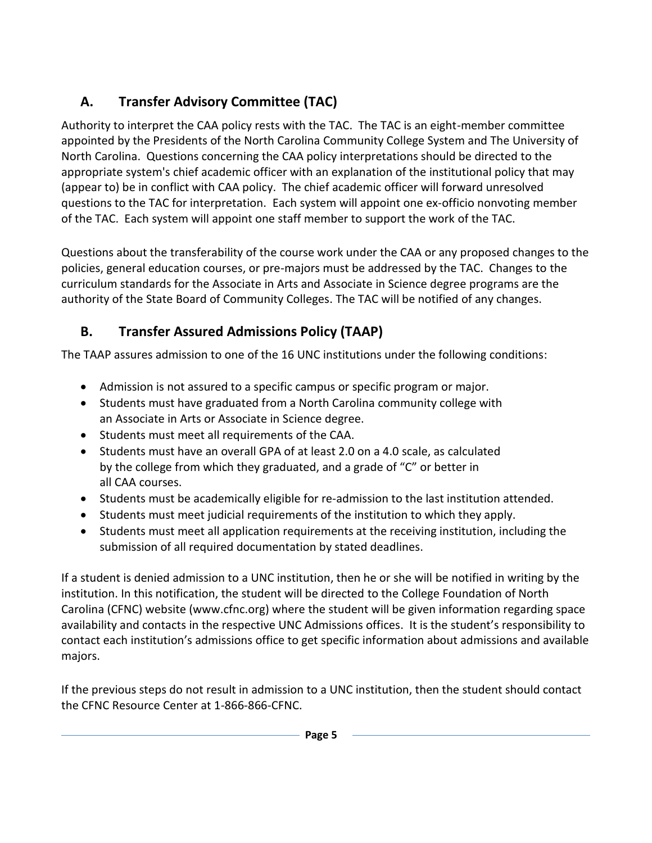# **A. Transfer Advisory Committee (TAC)**

Authority to interpret the CAA policy rests with the TAC. The TAC is an eight-member committee appointed by the Presidents of the North Carolina Community College System and The University of North Carolina. Questions concerning the CAA policy interpretations should be directed to the appropriate system's chief academic officer with an explanation of the institutional policy that may (appear to) be in conflict with CAA policy. The chief academic officer will forward unresolved questions to the TAC for interpretation. Each system will appoint one ex-officio nonvoting member of the TAC. Each system will appoint one staff member to support the work of the TAC.

Questions about the transferability of the course work under the CAA or any proposed changes to the policies, general education courses, or pre-majors must be addressed by the TAC. Changes to the curriculum standards for the Associate in Arts and Associate in Science degree programs are the authority of the State Board of Community Colleges. The TAC will be notified of any changes.

# **B. Transfer Assured Admissions Policy (TAAP)**

The TAAP assures admission to one of the 16 UNC institutions under the following conditions:

- Admission is not assured to a specific campus or specific program or major.
- Students must have graduated from a North Carolina community college with an Associate in Arts or Associate in Science degree.
- Students must meet all requirements of the CAA.
- Students must have an overall GPA of at least 2.0 on a 4.0 scale, as calculated by the college from which they graduated, and a grade of "C" or better in all CAA courses.
- Students must be academically eligible for re-admission to the last institution attended.
- Students must meet judicial requirements of the institution to which they apply.
- Students must meet all application requirements at the receiving institution, including the submission of all required documentation by stated deadlines.

If a student is denied admission to a UNC institution, then he or she will be notified in writing by the institution. In this notification, the student will be directed to the College Foundation of North Carolina (CFNC) website [\(www.cfnc.org\)](http://www.cfnc.org/) where the student will be given information regarding space availability and contacts in the respective UNC Admissions offices. It is the student's responsibility to contact each institution's admissions office to get specific information about admissions and available majors.

If the previous steps do not result in admission to a UNC institution, then the student should contact the CFNC Resource Center at 1-866-866-CFNC.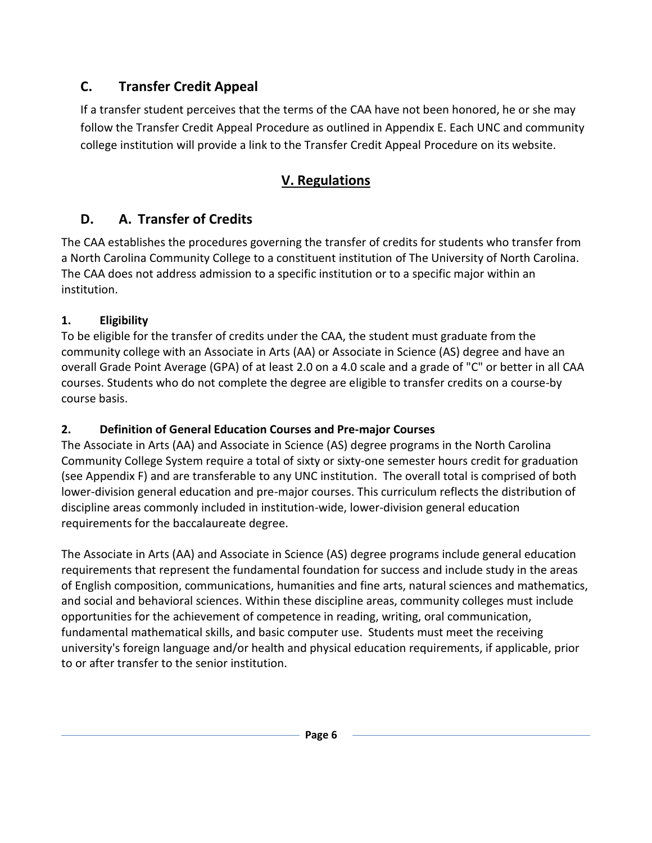# **C. Transfer Credit Appeal**

If a transfer student perceives that the terms of the CAA have not been honored, he or she may follow the Transfer Credit Appeal Procedure as outlined in Appendix E. Each UNC and community college institution will provide a link to the Transfer Credit Appeal Procedure on its website.

# **V. Regulations**

# <span id="page-5-0"></span>**D. A. Transfer of Credits**

The CAA establishes the procedures governing the transfer of credits for students who transfer from a North Carolina Community College to a constituent institution of The University of North Carolina. The CAA does not address admission to a specific institution or to a specific major within an institution.

# **1. Eligibility**

To be eligible for the transfer of credits under the CAA, the student must graduate from the community college with an Associate in Arts (AA) or Associate in Science (AS) degree and have an overall Grade Point Average (GPA) of at least 2.0 on a 4.0 scale and a grade of "C" or better in all CAA courses. Students who do not complete the degree are eligible to transfer credits on a course-by course basis.

# **2. Definition of General Education Courses and Pre-major Courses**

The Associate in Arts (AA) and Associate in Science (AS) degree programs in the North Carolina Community College System require a total of sixty or sixty-one semester hours credit for graduation (see Appendix F) and are transferable to any UNC institution. The overall total is comprised of both lower-division general education and pre-major courses. This curriculum reflects the distribution of discipline areas commonly included in institution-wide, lower-division general education requirements for the baccalaureate degree.

The Associate in Arts (AA) and Associate in Science (AS) degree programs include general education requirements that represent the fundamental foundation for success and include study in the areas of English composition, communications, humanities and fine arts, natural sciences and mathematics, and social and behavioral sciences. Within these discipline areas, community colleges must include opportunities for the achievement of competence in reading, writing, oral communication, fundamental mathematical skills, and basic computer use. Students must meet the receiving university's foreign language and/or health and physical education requirements, if applicable, prior to or after transfer to the senior institution.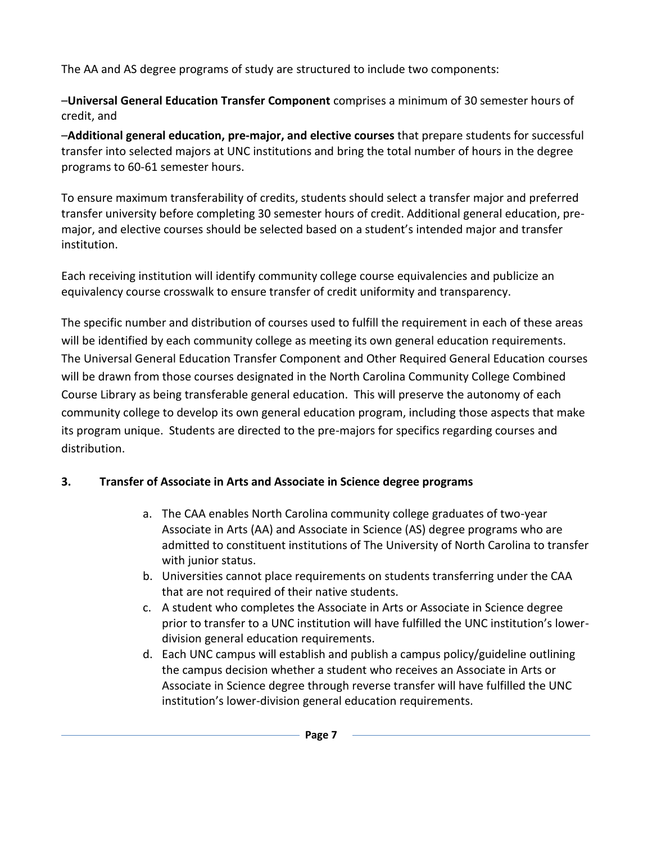The AA and AS degree programs of study are structured to include two components:

–**Universal General Education Transfer Component** comprises a minimum of 30 semester hours of credit, and

–**Additional general education, pre-major, and elective courses** that prepare students for successful transfer into selected majors at UNC institutions and bring the total number of hours in the degree programs to 60-61 semester hours.

To ensure maximum transferability of credits, students should select a transfer major and preferred transfer university before completing 30 semester hours of credit. Additional general education, premajor, and elective courses should be selected based on a student's intended major and transfer institution.

Each receiving institution will identify community college course equivalencies and publicize an equivalency course crosswalk to ensure transfer of credit uniformity and transparency.

The specific number and distribution of courses used to fulfill the requirement in each of these areas will be identified by each community college as meeting its own general education requirements. The Universal General Education Transfer Component and Other Required General Education courses will be drawn from those courses designated in the North Carolina Community College Combined Course Library as being transferable general education.This will preserve the autonomy of each community college to develop its own general education program, including those aspects that make its program unique. Students are directed to the pre-majors for specifics regarding courses and distribution.

## **3. Transfer of Associate in Arts and Associate in Science degree programs**

- a. The CAA enables North Carolina community college graduates of two-year Associate in Arts (AA) and Associate in Science (AS) degree programs who are admitted to constituent institutions of The University of North Carolina to transfer with junior status.
- b. Universities cannot place requirements on students transferring under the CAA that are not required of their native students.
- c. A student who completes the Associate in Arts or Associate in Science degree prior to transfer to a UNC institution will have fulfilled the UNC institution's lowerdivision general education requirements.
- d. Each UNC campus will establish and publish a campus policy/guideline outlining the campus decision whether a student who receives an Associate in Arts or Associate in Science degree through reverse transfer will have fulfilled the UNC institution's lower-division general education requirements.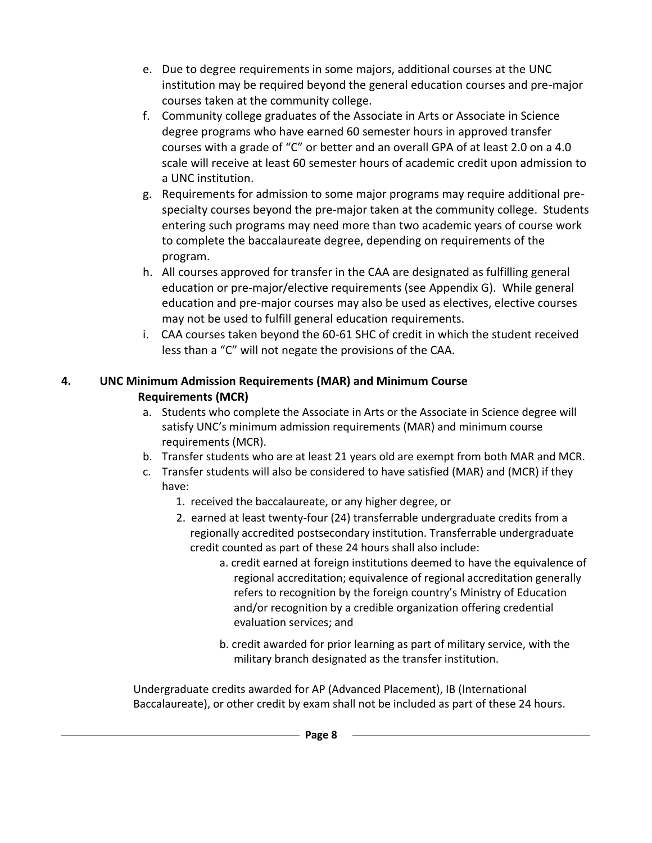- e. Due to degree requirements in some majors, additional courses at the UNC institution may be required beyond the general education courses and pre-major courses taken at the community college.
- f. Community college graduates of the Associate in Arts or Associate in Science degree programs who have earned 60 semester hours in approved transfer courses with a grade of "C" or better and an overall GPA of at least 2.0 on a 4.0 scale will receive at least 60 semester hours of academic credit upon admission to a UNC institution.
- g. Requirements for admission to some major programs may require additional prespecialty courses beyond the pre-major taken at the community college. Students entering such programs may need more than two academic years of course work to complete the baccalaureate degree, depending on requirements of the program.
- h. All courses approved for transfer in the CAA are designated as fulfilling general education or pre-major/elective requirements (see Appendix G). While general education and pre-major courses may also be used as electives, elective courses may not be used to fulfill general education requirements.
- i. CAA courses taken beyond the 60-61 SHC of credit in which the student received less than a "C" will not negate the provisions of the CAA.

### **4. UNC Minimum Admission Requirements (MAR) and Minimum Course Requirements (MCR)**

- a. Students who complete the Associate in Arts or the Associate in Science degree will satisfy UNC's minimum admission requirements (MAR) and minimum course requirements (MCR).
- b. Transfer students who are at least 21 years old are exempt from both MAR and MCR.
- c. Transfer students will also be considered to have satisfied (MAR) and (MCR) if they have:
	- 1. received the baccalaureate, or any higher degree, or
	- 2. earned at least twenty-four (24) transferrable undergraduate credits from a regionally accredited postsecondary institution. Transferrable undergraduate credit counted as part of these 24 hours shall also include:
		- a. credit earned at foreign institutions deemed to have the equivalence of regional accreditation; equivalence of regional accreditation generally refers to recognition by the foreign country's Ministry of Education and/or recognition by a credible organization offering credential evaluation services; and
		- b. credit awarded for prior learning as part of military service, with the military branch designated as the transfer institution.

Undergraduate credits awarded for AP (Advanced Placement), IB (International Baccalaureate), or other credit by exam shall not be included as part of these 24 hours.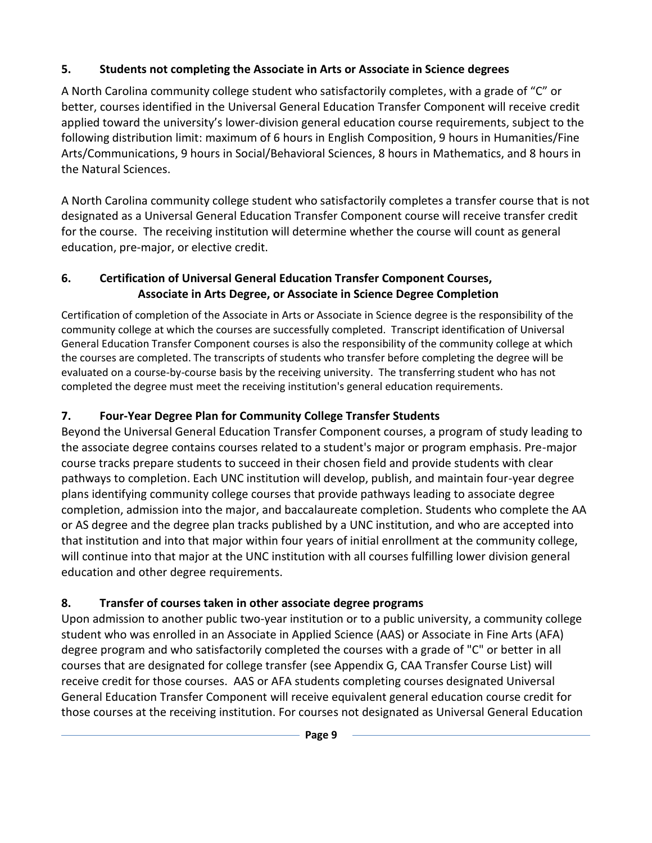## **5. Students not completing the Associate in Arts or Associate in Science degrees**

A North Carolina community college student who satisfactorily completes, with a grade of "C" or better, courses identified in the Universal General Education Transfer Component will receive credit applied toward the university's lower-division general education course requirements, subject to the following distribution limit: maximum of 6 hours in English Composition, 9 hours in Humanities/Fine Arts/Communications, 9 hours in Social/Behavioral Sciences, 8 hours in Mathematics, and 8 hours in the Natural Sciences.

A North Carolina community college student who satisfactorily completes a transfer course that is not designated as a Universal General Education Transfer Component course will receive transfer credit for the course. The receiving institution will determine whether the course will count as general education, pre-major, or elective credit.

## **6. Certification of Universal General Education Transfer Component Courses, Associate in Arts Degree, or Associate in Science Degree Completion**

Certification of completion of the Associate in Arts or Associate in Science degree is the responsibility of the community college at which the courses are successfully completed. Transcript identification of Universal General Education Transfer Component courses is also the responsibility of the community college at which the courses are completed. The transcripts of students who transfer before completing the degree will be evaluated on a course-by-course basis by the receiving university. The transferring student who has not completed the degree must meet the receiving institution's general education requirements.

# **7. Four-Year Degree Plan for Community College Transfer Students**

Beyond the Universal General Education Transfer Component courses, a program of study leading to the associate degree contains courses related to a student's major or program emphasis. Pre-major course tracks prepare students to succeed in their chosen field and provide students with clear pathways to completion. Each UNC institution will develop, publish, and maintain four-year degree plans identifying community college courses that provide pathways leading to associate degree completion, admission into the major, and baccalaureate completion. Students who complete the AA or AS degree and the degree plan tracks published by a UNC institution, and who are accepted into that institution and into that major within four years of initial enrollment at the community college, will continue into that major at the UNC institution with all courses fulfilling lower division general education and other degree requirements.

# **8. Transfer of courses taken in other associate degree programs**

Upon admission to another public two-year institution or to a public university, a community college student who was enrolled in an Associate in Applied Science (AAS) or Associate in Fine Arts (AFA) degree program and who satisfactorily completed the courses with a grade of "C" or better in all courses that are designated for college transfer (see Appendix G, CAA Transfer Course List) will receive credit for those courses. AAS or AFA students completing courses designated Universal General Education Transfer Component will receive equivalent general education course credit for those courses at the receiving institution. For courses not designated as Universal General Education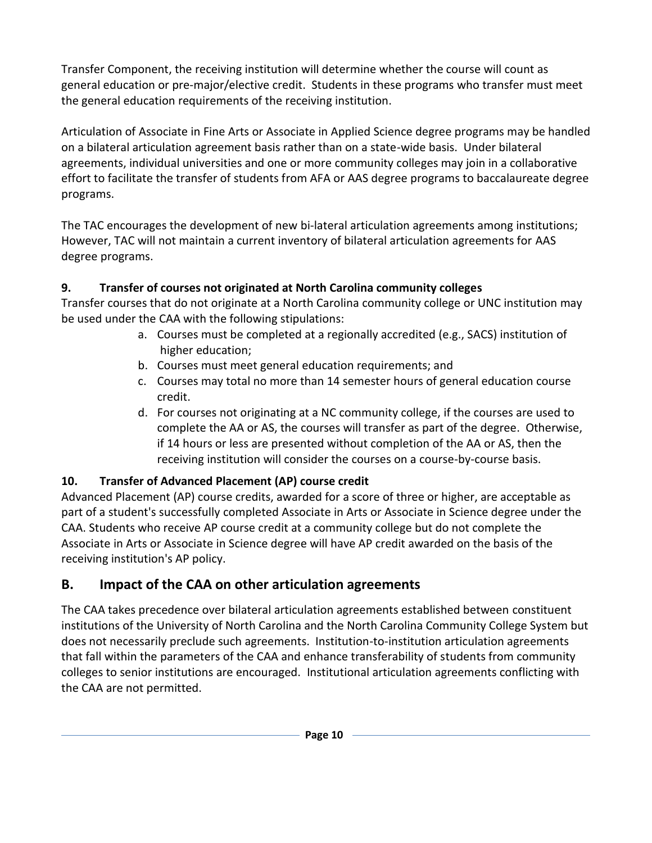Transfer Component, the receiving institution will determine whether the course will count as general education or pre-major/elective credit. Students in these programs who transfer must meet the general education requirements of the receiving institution.

Articulation of Associate in Fine Arts or Associate in Applied Science degree programs may be handled on a bilateral articulation agreement basis rather than on a state-wide basis. Under bilateral agreements, individual universities and one or more community colleges may join in a collaborative effort to facilitate the transfer of students from AFA or AAS degree programs to baccalaureate degree programs.

The TAC encourages the development of new bi-lateral articulation agreements among institutions; However, TAC will not maintain a current inventory of bilateral articulation agreements for AAS degree programs.

# **9. Transfer of courses not originated at North Carolina community colleges**

Transfer courses that do not originate at a North Carolina community college or UNC institution may be used under the CAA with the following stipulations:

- a. Courses must be completed at a regionally accredited (e.g., SACS) institution of higher education;
- b. Courses must meet general education requirements; and
- c. Courses may total no more than 14 semester hours of general education course credit.
- d. For courses not originating at a NC community college, if the courses are used to complete the AA or AS, the courses will transfer as part of the degree. Otherwise, if 14 hours or less are presented without completion of the AA or AS, then the receiving institution will consider the courses on a course-by-course basis.

## **10. Transfer of Advanced Placement (AP) course credit**

Advanced Placement (AP) course credits, awarded for a score of three or higher, are acceptable as part of a student's successfully completed Associate in Arts or Associate in Science degree under the CAA. Students who receive AP course credit at a community college but do not complete the Associate in Arts or Associate in Science degree will have AP credit awarded on the basis of the receiving institution's AP policy.

# **B. Impact of the CAA on other articulation agreements**

The CAA takes precedence over bilateral articulation agreements established between constituent institutions of the University of North Carolina and the North Carolina Community College System but does not necessarily preclude such agreements. Institution-to-institution articulation agreements that fall within the parameters of the CAA and enhance transferability of students from community colleges to senior institutions are encouraged. Institutional articulation agreements conflicting with the CAA are not permitted.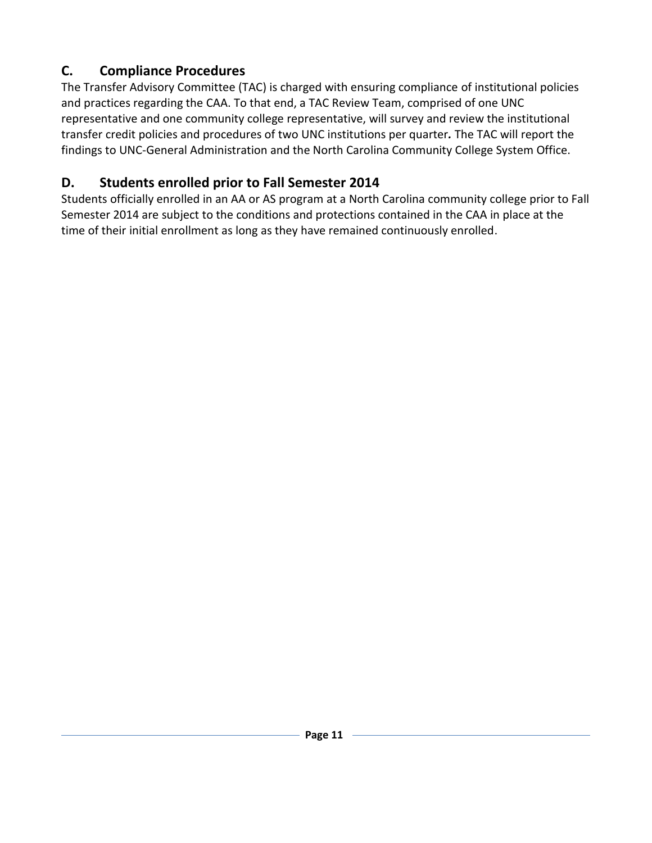# **C. Compliance Procedures**

The Transfer Advisory Committee (TAC) is charged with ensuring compliance of institutional policies and practices regarding the CAA. To that end, a TAC Review Team, comprised of one UNC representative and one community college representative, will survey and review the institutional transfer credit policies and procedures of two UNC institutions per quarter*.* The TAC will report the findings to UNC-General Administration and the North Carolina Community College System Office.

# **D. Students enrolled prior to Fall Semester 2014**

<span id="page-10-0"></span>Students officially enrolled in an AA or AS program at a North Carolina community college prior to Fall Semester 2014 are subject to the conditions and protections contained in the CAA in place at the time of their initial enrollment as long as they have remained continuously enrolled.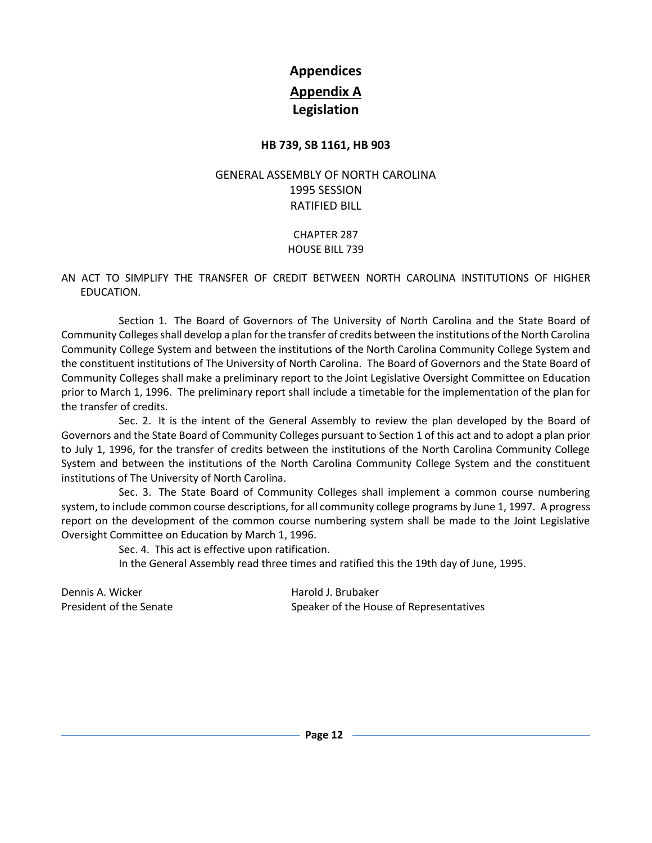# **Appendices Appendix A Legislation**

### **HB 739, SB 1161, HB 903**

### <span id="page-11-0"></span>GENERAL ASSEMBLY OF NORTH CAROLINA 1995 SESSION RATIFIED BILL

### CHAPTER 287 HOUSE BILL 739

#### AN ACT TO SIMPLIFY THE TRANSFER OF CREDIT BETWEEN NORTH CAROLINA INSTITUTIONS OF HIGHER EDUCATION.

Section 1. The Board of Governors of The University of North Carolina and the State Board of Community Colleges shall develop a plan for the transfer of credits between the institutions of the North Carolina Community College System and between the institutions of the North Carolina Community College System and the constituent institutions of The University of North Carolina. The Board of Governors and the State Board of Community Colleges shall make a preliminary report to the Joint Legislative Oversight Committee on Education prior to March 1, 1996. The preliminary report shall include a timetable for the implementation of the plan for the transfer of credits.

Sec. 2. It is the intent of the General Assembly to review the plan developed by the Board of Governors and the State Board of Community Colleges pursuant to Section 1 of this act and to adopt a plan prior to July 1, 1996, for the transfer of credits between the institutions of the North Carolina Community College System and between the institutions of the North Carolina Community College System and the constituent institutions of The University of North Carolina.

Sec. 3. The State Board of Community Colleges shall implement a common course numbering system, to include common course descriptions, for all community college programs by June 1, 1997. A progress report on the development of the common course numbering system shall be made to the Joint Legislative Oversight Committee on Education by March 1, 1996.

Sec. 4. This act is effective upon ratification.

In the General Assembly read three times and ratified this the 19th day of June, 1995.

Dennis A. Wicker **Harold J. Brubaker** Harold J. Brubaker

President of the Senate Speaker of the House of Representatives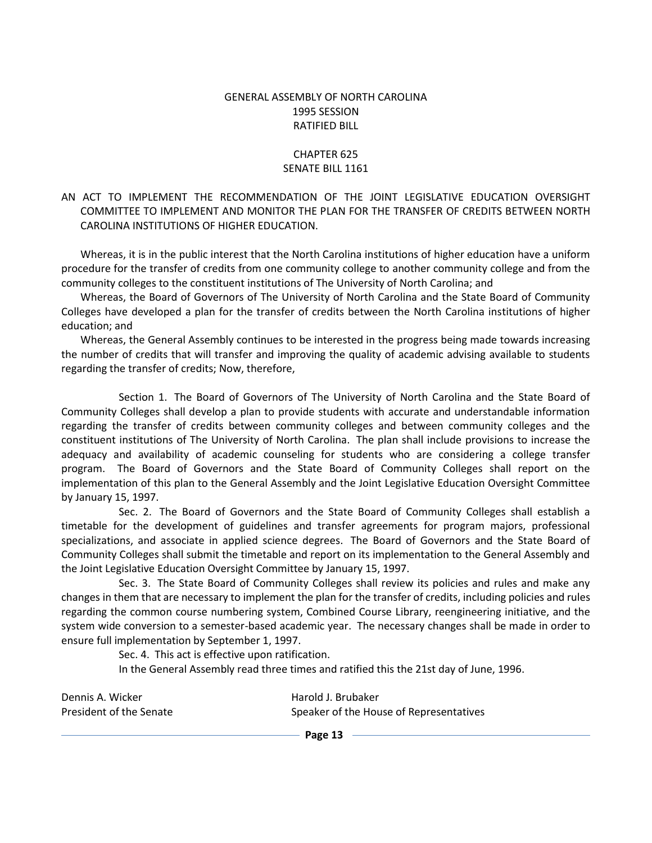#### GENERAL ASSEMBLY OF NORTH CAROLINA 1995 SESSION RATIFIED BILL

#### CHAPTER 625 SENATE BILL 1161

### AN ACT TO IMPLEMENT THE RECOMMENDATION OF THE JOINT LEGISLATIVE EDUCATION OVERSIGHT COMMITTEE TO IMPLEMENT AND MONITOR THE PLAN FOR THE TRANSFER OF CREDITS BETWEEN NORTH CAROLINA INSTITUTIONS OF HIGHER EDUCATION.

Whereas, it is in the public interest that the North Carolina institutions of higher education have a uniform procedure for the transfer of credits from one community college to another community college and from the community colleges to the constituent institutions of The University of North Carolina; and

Whereas, the Board of Governors of The University of North Carolina and the State Board of Community Colleges have developed a plan for the transfer of credits between the North Carolina institutions of higher education; and

Whereas, the General Assembly continues to be interested in the progress being made towards increasing the number of credits that will transfer and improving the quality of academic advising available to students regarding the transfer of credits; Now, therefore,

Section 1. The Board of Governors of The University of North Carolina and the State Board of Community Colleges shall develop a plan to provide students with accurate and understandable information regarding the transfer of credits between community colleges and between community colleges and the constituent institutions of The University of North Carolina. The plan shall include provisions to increase the adequacy and availability of academic counseling for students who are considering a college transfer program. The Board of Governors and the State Board of Community Colleges shall report on the implementation of this plan to the General Assembly and the Joint Legislative Education Oversight Committee by January 15, 1997.

Sec. 2. The Board of Governors and the State Board of Community Colleges shall establish a timetable for the development of guidelines and transfer agreements for program majors, professional specializations, and associate in applied science degrees. The Board of Governors and the State Board of Community Colleges shall submit the timetable and report on its implementation to the General Assembly and the Joint Legislative Education Oversight Committee by January 15, 1997.

Sec. 3. The State Board of Community Colleges shall review its policies and rules and make any changes in them that are necessary to implement the plan for the transfer of credits, including policies and rules regarding the common course numbering system, Combined Course Library, reengineering initiative, and the system wide conversion to a semester-based academic year. The necessary changes shall be made in order to ensure full implementation by September 1, 1997.

Sec. 4. This act is effective upon ratification.

In the General Assembly read three times and ratified this the 21st day of June, 1996.

| Dennis A. Wicker        | Harold J. Brubaker                      |
|-------------------------|-----------------------------------------|
| President of the Senate | Speaker of the House of Representatives |

**Page 13**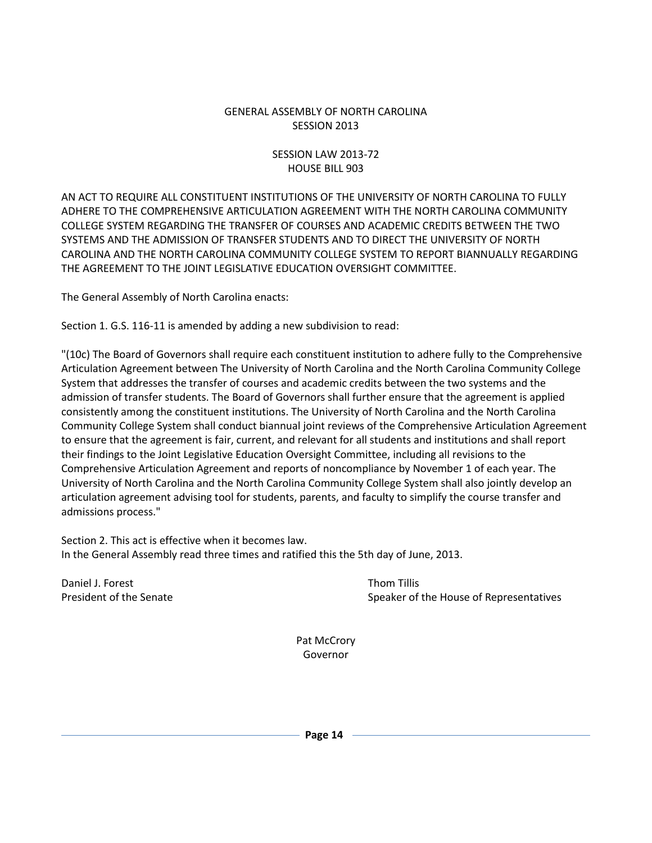#### GENERAL ASSEMBLY OF NORTH CAROLINA SESSION 2013

### SESSION LAW 2013-72 HOUSE BILL 903

AN ACT TO REQUIRE ALL CONSTITUENT INSTITUTIONS OF THE UNIVERSITY OF NORTH CAROLINA TO FULLY ADHERE TO THE COMPREHENSIVE ARTICULATION AGREEMENT WITH THE NORTH CAROLINA COMMUNITY COLLEGE SYSTEM REGARDING THE TRANSFER OF COURSES AND ACADEMIC CREDITS BETWEEN THE TWO SYSTEMS AND THE ADMISSION OF TRANSFER STUDENTS AND TO DIRECT THE UNIVERSITY OF NORTH CAROLINA AND THE NORTH CAROLINA COMMUNITY COLLEGE SYSTEM TO REPORT BIANNUALLY REGARDING THE AGREEMENT TO THE JOINT LEGISLATIVE EDUCATION OVERSIGHT COMMITTEE.

The General Assembly of North Carolina enacts:

Section 1. G.S. 116-11 is amended by adding a new subdivision to read:

"(10c) The Board of Governors shall require each constituent institution to adhere fully to the Comprehensive Articulation Agreement between The University of North Carolina and the North Carolina Community College System that addresses the transfer of courses and academic credits between the two systems and the admission of transfer students. The Board of Governors shall further ensure that the agreement is applied consistently among the constituent institutions. The University of North Carolina and the North Carolina Community College System shall conduct biannual joint reviews of the Comprehensive Articulation Agreement to ensure that the agreement is fair, current, and relevant for all students and institutions and shall report their findings to the Joint Legislative Education Oversight Committee, including all revisions to the Comprehensive Articulation Agreement and reports of noncompliance by November 1 of each year. The University of North Carolina and the North Carolina Community College System shall also jointly develop an articulation agreement advising tool for students, parents, and faculty to simplify the course transfer and admissions process."

Section 2. This act is effective when it becomes law. In the General Assembly read three times and ratified this the 5th day of June, 2013.

Daniel J. Forest **Thom Tillis** 

President of the Senate Speaker of the House of Representatives

Pat McCrory Governor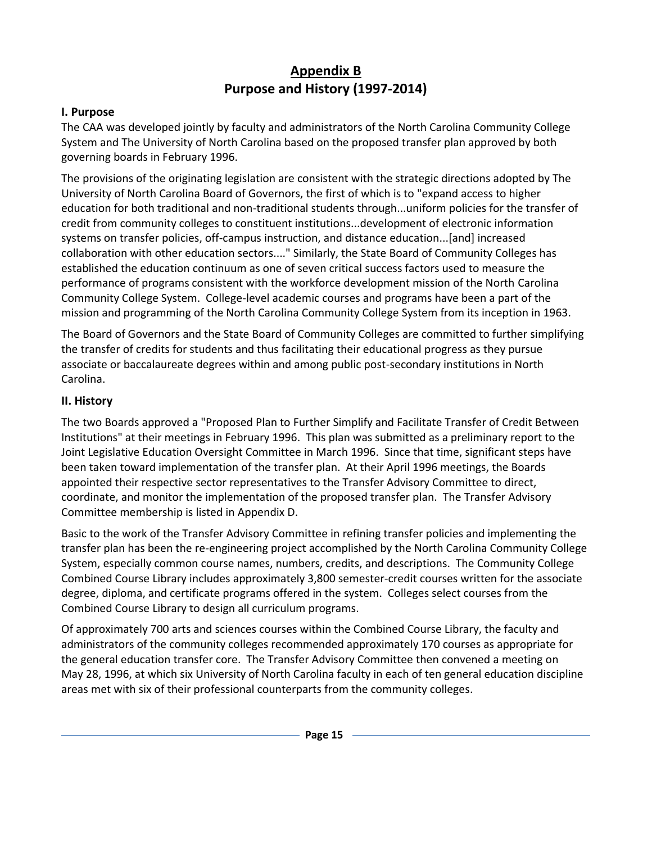# **Appendix B Purpose and History (1997-2014)**

### <span id="page-14-0"></span>**I. Purpose**

The CAA was developed jointly by faculty and administrators of the North Carolina Community College System and The University of North Carolina based on the proposed transfer plan approved by both governing boards in February 1996.

The provisions of the originating legislation are consistent with the strategic directions adopted by The University of North Carolina Board of Governors, the first of which is to "expand access to higher education for both traditional and non-traditional students through...uniform policies for the transfer of credit from community colleges to constituent institutions...development of electronic information systems on transfer policies, off-campus instruction, and distance education...[and] increased collaboration with other education sectors...." Similarly, the State Board of Community Colleges has established the education continuum as one of seven critical success factors used to measure the performance of programs consistent with the workforce development mission of the North Carolina Community College System. College-level academic courses and programs have been a part of the mission and programming of the North Carolina Community College System from its inception in 1963.

The Board of Governors and the State Board of Community Colleges are committed to further simplifying the transfer of credits for students and thus facilitating their educational progress as they pursue associate or baccalaureate degrees within and among public post-secondary institutions in North Carolina.

### **II. History**

The two Boards approved a "Proposed Plan to Further Simplify and Facilitate Transfer of Credit Between Institutions" at their meetings in February 1996. This plan was submitted as a preliminary report to the Joint Legislative Education Oversight Committee in March 1996. Since that time, significant steps have been taken toward implementation of the transfer plan. At their April 1996 meetings, the Boards appointed their respective sector representatives to the Transfer Advisory Committee to direct, coordinate, and monitor the implementation of the proposed transfer plan. The Transfer Advisory Committee membership is listed in Appendix D.

Basic to the work of the Transfer Advisory Committee in refining transfer policies and implementing the transfer plan has been the re-engineering project accomplished by the North Carolina Community College System, especially common course names, numbers, credits, and descriptions. The Community College Combined Course Library includes approximately 3,800 semester-credit courses written for the associate degree, diploma, and certificate programs offered in the system. Colleges select courses from the Combined Course Library to design all curriculum programs.

Of approximately 700 arts and sciences courses within the Combined Course Library, the faculty and administrators of the community colleges recommended approximately 170 courses as appropriate for the general education transfer core. The Transfer Advisory Committee then convened a meeting on May 28, 1996, at which six University of North Carolina faculty in each of ten general education discipline areas met with six of their professional counterparts from the community colleges.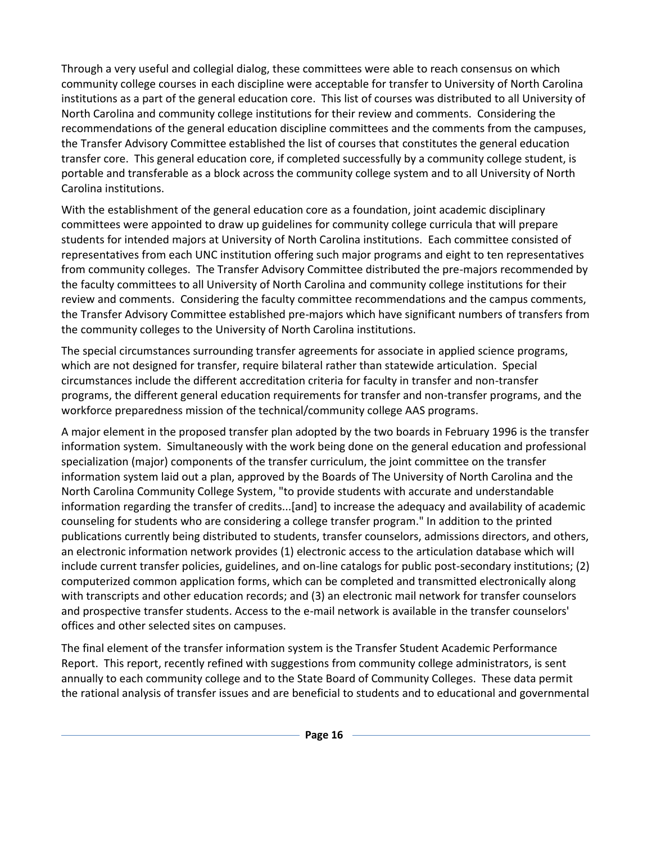Through a very useful and collegial dialog, these committees were able to reach consensus on which community college courses in each discipline were acceptable for transfer to University of North Carolina institutions as a part of the general education core. This list of courses was distributed to all University of North Carolina and community college institutions for their review and comments. Considering the recommendations of the general education discipline committees and the comments from the campuses, the Transfer Advisory Committee established the list of courses that constitutes the general education transfer core. This general education core, if completed successfully by a community college student, is portable and transferable as a block across the community college system and to all University of North Carolina institutions.

With the establishment of the general education core as a foundation, joint academic disciplinary committees were appointed to draw up guidelines for community college curricula that will prepare students for intended majors at University of North Carolina institutions. Each committee consisted of representatives from each UNC institution offering such major programs and eight to ten representatives from community colleges. The Transfer Advisory Committee distributed the pre-majors recommended by the faculty committees to all University of North Carolina and community college institutions for their review and comments. Considering the faculty committee recommendations and the campus comments, the Transfer Advisory Committee established pre-majors which have significant numbers of transfers from the community colleges to the University of North Carolina institutions.

The special circumstances surrounding transfer agreements for associate in applied science programs, which are not designed for transfer, require bilateral rather than statewide articulation. Special circumstances include the different accreditation criteria for faculty in transfer and non-transfer programs, the different general education requirements for transfer and non-transfer programs, and the workforce preparedness mission of the technical/community college AAS programs.

A major element in the proposed transfer plan adopted by the two boards in February 1996 is the transfer information system. Simultaneously with the work being done on the general education and professional specialization (major) components of the transfer curriculum, the joint committee on the transfer information system laid out a plan, approved by the Boards of The University of North Carolina and the North Carolina Community College System, "to provide students with accurate and understandable information regarding the transfer of credits...[and] to increase the adequacy and availability of academic counseling for students who are considering a college transfer program." In addition to the printed publications currently being distributed to students, transfer counselors, admissions directors, and others, an electronic information network provides (1) electronic access to the articulation database which will include current transfer policies, guidelines, and on-line catalogs for public post-secondary institutions; (2) computerized common application forms, which can be completed and transmitted electronically along with transcripts and other education records; and (3) an electronic mail network for transfer counselors and prospective transfer students. Access to the e-mail network is available in the transfer counselors' offices and other selected sites on campuses.

The final element of the transfer information system is the Transfer Student Academic Performance Report. This report, recently refined with suggestions from community college administrators, is sent annually to each community college and to the State Board of Community Colleges. These data permit the rational analysis of transfer issues and are beneficial to students and to educational and governmental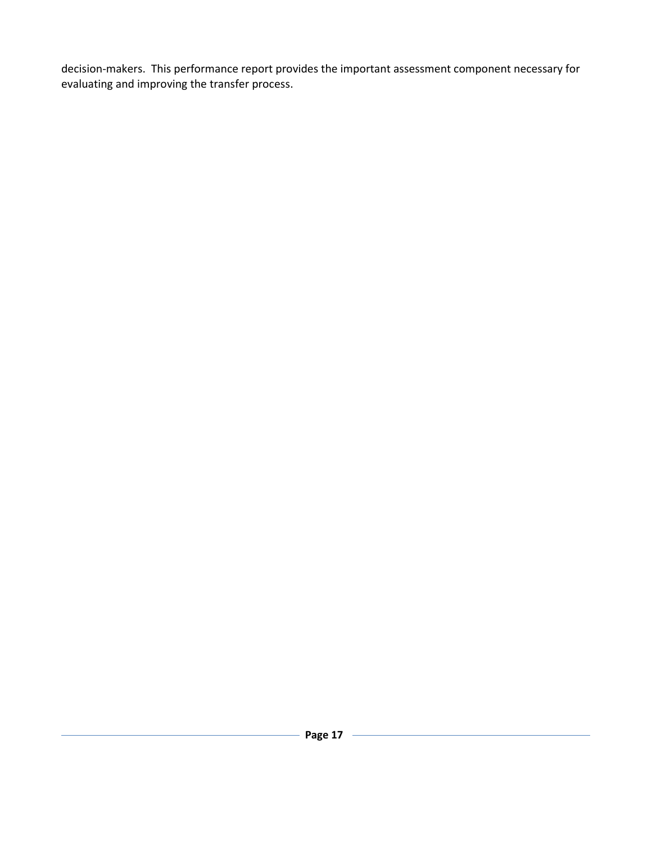<span id="page-16-0"></span>decision-makers. This performance report provides the important assessment component necessary for evaluating and improving the transfer process.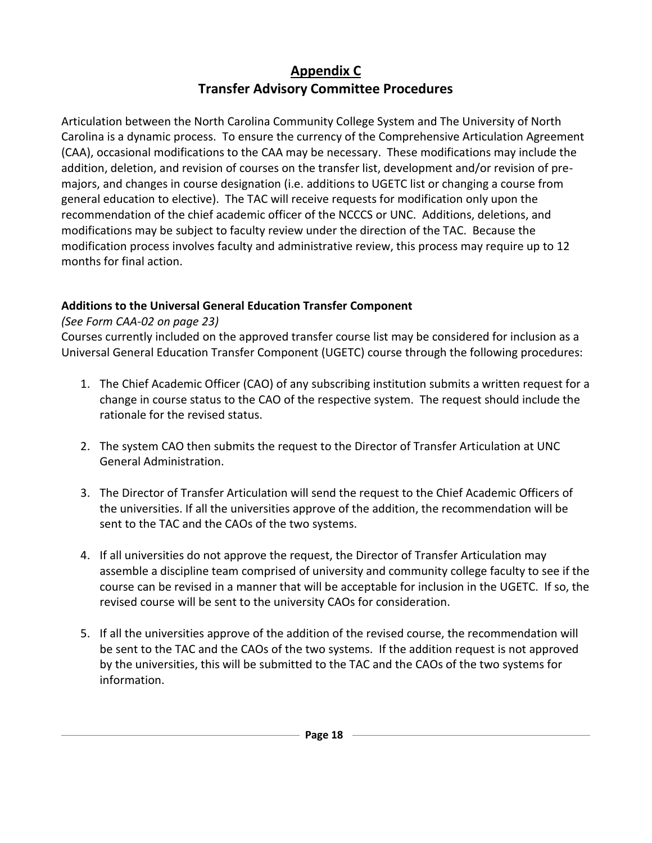# **Appendix C Transfer Advisory Committee Procedures**

Articulation between the North Carolina Community College System and The University of North Carolina is a dynamic process. To ensure the currency of the Comprehensive Articulation Agreement (CAA), occasional modifications to the CAA may be necessary. These modifications may include the addition, deletion, and revision of courses on the transfer list, development and/or revision of premajors, and changes in course designation (i.e. additions to UGETC list or changing a course from general education to elective). The TAC will receive requests for modification only upon the recommendation of the chief academic officer of the NCCCS or UNC. Additions, deletions, and modifications may be subject to faculty review under the direction of the TAC. Because the modification process involves faculty and administrative review, this process may require up to 12 months for final action.

### **Additions to the Universal General Education Transfer Component**

### *(See Form CAA-02 on page 23)*

Courses currently included on the approved transfer course list may be considered for inclusion as a Universal General Education Transfer Component (UGETC) course through the following procedures:

- 1. The Chief Academic Officer (CAO) of any subscribing institution submits a written request for a change in course status to the CAO of the respective system. The request should include the rationale for the revised status.
- 2. The system CAO then submits the request to the Director of Transfer Articulation at UNC General Administration.
- 3. The Director of Transfer Articulation will send the request to the Chief Academic Officers of the universities. If all the universities approve of the addition, the recommendation will be sent to the TAC and the CAOs of the two systems.
- 4. If all universities do not approve the request, the Director of Transfer Articulation may assemble a discipline team comprised of university and community college faculty to see if the course can be revised in a manner that will be acceptable for inclusion in the UGETC. If so, the revised course will be sent to the university CAOs for consideration.
- 5. If all the universities approve of the addition of the revised course, the recommendation will be sent to the TAC and the CAOs of the two systems. If the addition request is not approved by the universities, this will be submitted to the TAC and the CAOs of the two systems for information.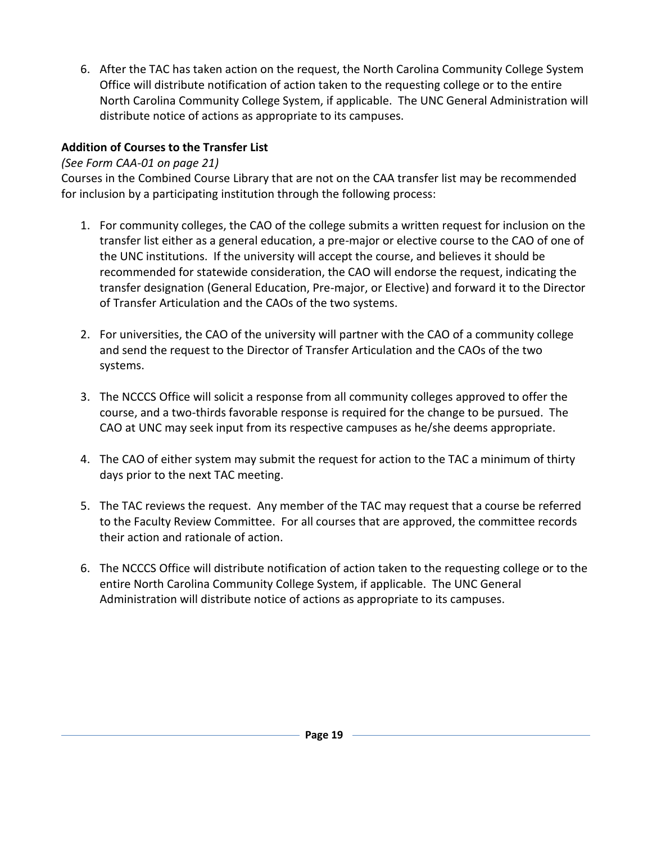6. After the TAC has taken action on the request, the North Carolina Community College System Office will distribute notification of action taken to the requesting college or to the entire North Carolina Community College System, if applicable. The UNC General Administration will distribute notice of actions as appropriate to its campuses.

## **Addition of Courses to the Transfer List**

## *(See Form CAA-01 on page 21)*

Courses in the Combined Course Library that are not on the CAA transfer list may be recommended for inclusion by a participating institution through the following process:

- 1. For community colleges, the CAO of the college submits a written request for inclusion on the transfer list either as a general education, a pre-major or elective course to the CAO of one of the UNC institutions. If the university will accept the course, and believes it should be recommended for statewide consideration, the CAO will endorse the request, indicating the transfer designation (General Education, Pre-major, or Elective) and forward it to the Director of Transfer Articulation and the CAOs of the two systems.
- 2. For universities, the CAO of the university will partner with the CAO of a community college and send the request to the Director of Transfer Articulation and the CAOs of the two systems.
- 3. The NCCCS Office will solicit a response from all community colleges approved to offer the course, and a two-thirds favorable response is required for the change to be pursued. The CAO at UNC may seek input from its respective campuses as he/she deems appropriate.
- 4. The CAO of either system may submit the request for action to the TAC a minimum of thirty days prior to the next TAC meeting.
- 5. The TAC reviews the request. Any member of the TAC may request that a course be referred to the Faculty Review Committee. For all courses that are approved, the committee records their action and rationale of action.
- 6. The NCCCS Office will distribute notification of action taken to the requesting college or to the entire North Carolina Community College System, if applicable. The UNC General Administration will distribute notice of actions as appropriate to its campuses.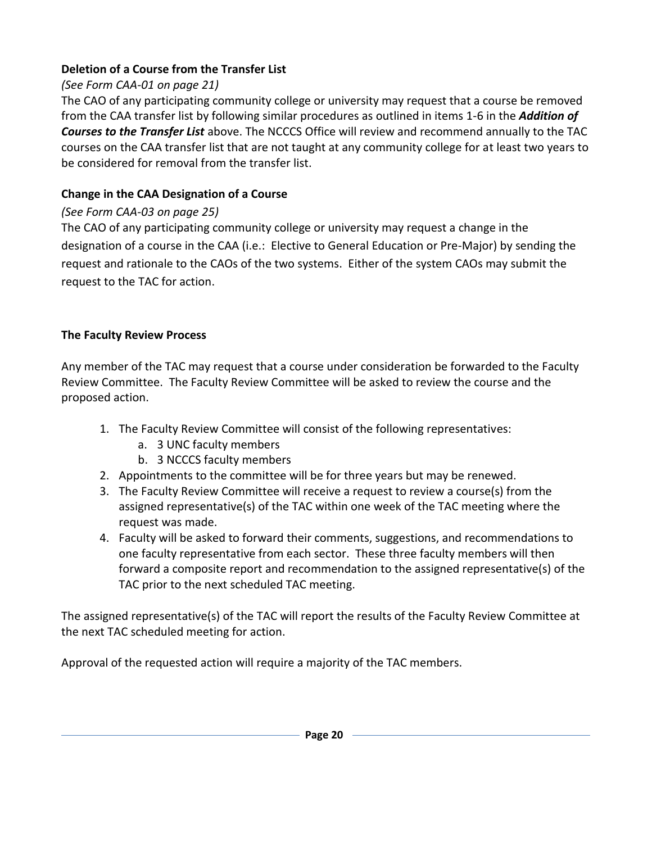### **Deletion of a Course from the Transfer List**

## *(See Form CAA-01 on page 21)*

The CAO of any participating community college or university may request that a course be removed from the CAA transfer list by following similar procedures as outlined in items 1-6 in the *Addition of Courses to the Transfer List* above. The NCCCS Office will review and recommend annually to the TAC courses on the CAA transfer list that are not taught at any community college for at least two years to be considered for removal from the transfer list.

### **Change in the CAA Designation of a Course**

### *(See Form CAA-03 on page 25)*

The CAO of any participating community college or university may request a change in the designation of a course in the CAA (i.e.: Elective to General Education or Pre-Major) by sending the request and rationale to the CAOs of the two systems. Either of the system CAOs may submit the request to the TAC for action.

### **The Faculty Review Process**

Any member of the TAC may request that a course under consideration be forwarded to the Faculty Review Committee. The Faculty Review Committee will be asked to review the course and the proposed action.

- 1. The Faculty Review Committee will consist of the following representatives:
	- a. 3 UNC faculty members
	- b. 3 NCCCS faculty members
- 2. Appointments to the committee will be for three years but may be renewed.
- 3. The Faculty Review Committee will receive a request to review a course(s) from the assigned representative(s) of the TAC within one week of the TAC meeting where the request was made.
- 4. Faculty will be asked to forward their comments, suggestions, and recommendations to one faculty representative from each sector. These three faculty members will then forward a composite report and recommendation to the assigned representative(s) of the TAC prior to the next scheduled TAC meeting.

The assigned representative(s) of the TAC will report the results of the Faculty Review Committee at the next TAC scheduled meeting for action.

Approval of the requested action will require a majority of the TAC members.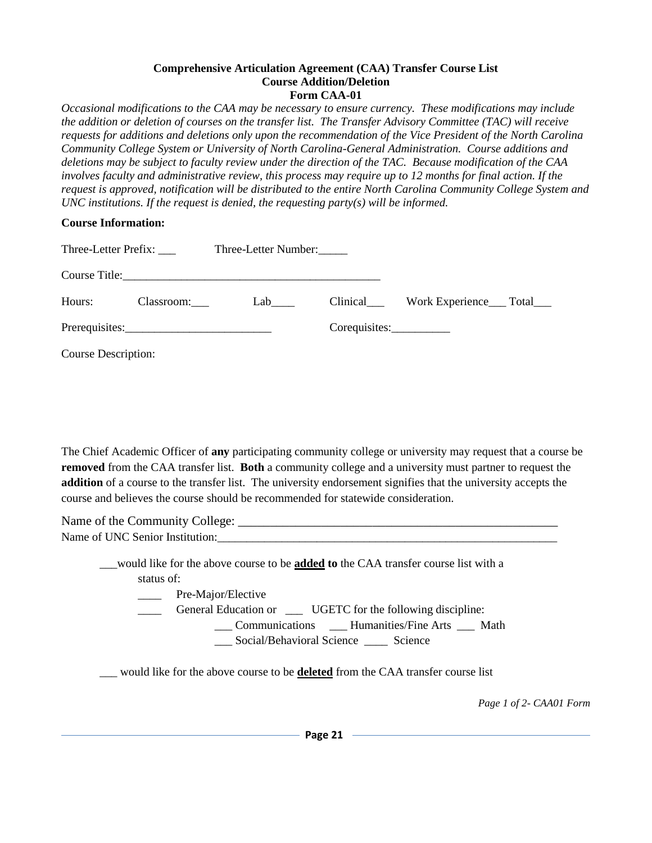#### **Comprehensive Articulation Agreement (CAA) Transfer Course List Course Addition/Deletion Form CAA-01**

*Occasional modifications to the CAA may be necessary to ensure currency. These modifications may include the addition or deletion of courses on the transfer list. The Transfer Advisory Committee (TAC) will receive requests for additions and deletions only upon the recommendation of the Vice President of the North Carolina Community College System or University of North Carolina-General Administration. Course additions and deletions may be subject to faculty review under the direction of the TAC. Because modification of the CAA involves faculty and administrative review, this process may require up to 12 months for final action. If the request is approved, notification will be distributed to the entire North Carolina Community College System and UNC institutions. If the request is denied, the requesting party(s) will be informed.* 

### **Course Information:**

| Three-Letter Prefix:       |                | Three-Letter Number: |               |  |
|----------------------------|----------------|----------------------|---------------|--|
|                            |                |                      |               |  |
| Hours:                     | Classroom:     | Lab                  |               |  |
|                            | Prerequisites: |                      | Corequisites: |  |
| <b>Course Description:</b> |                |                      |               |  |

The Chief Academic Officer of **any** participating community college or university may request that a course be **removed** from the CAA transfer list. **Both** a community college and a university must partner to request the **addition** of a course to the transfer list. The university endorsement signifies that the university accepts the course and believes the course should be recommended for statewide consideration.

| Name of the Community College:  |  |
|---------------------------------|--|
| Name of UNC Senior Institution: |  |
|                                 |  |

\_\_\_would like for the above course to be **added to** the CAA transfer course list with a status of: **\_\_\_\_\_** Pre-Major/Elective General Education or \_\_\_\_ UGETC for the following discipline: \_\_\_ Communications \_\_\_ Humanities/Fine Arts \_\_\_ Math \_\_\_ Social/Behavioral Science \_\_\_\_ Science

\_\_\_ would like for the above course to be **deleted** from the CAA transfer course list

*Page 1 of 2- CAA01 Form*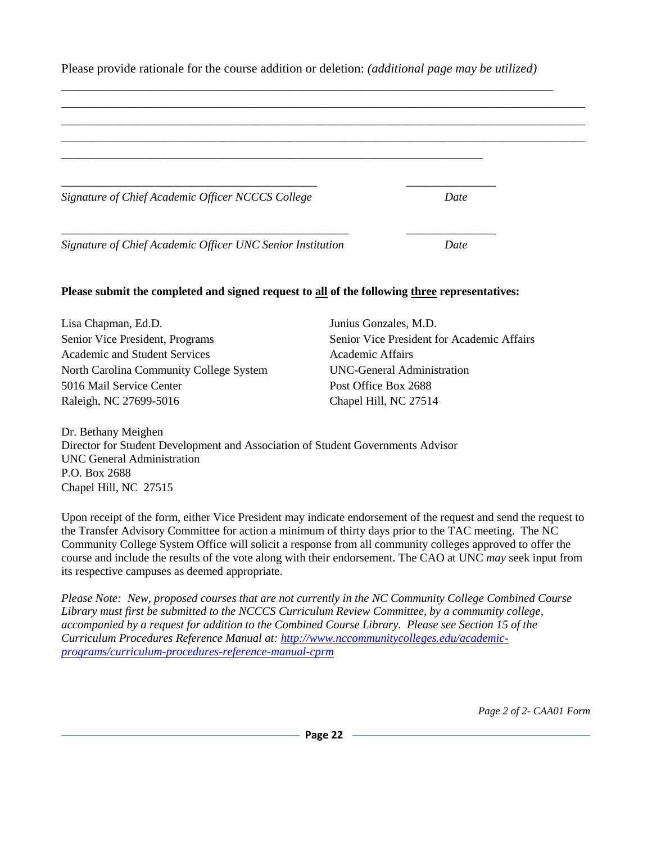| Signature of Chief Academic Officer NCCCS College                                             |                       | Date                                       |
|-----------------------------------------------------------------------------------------------|-----------------------|--------------------------------------------|
|                                                                                               |                       |                                            |
|                                                                                               |                       |                                            |
| Signature of Chief Academic Officer UNC Senior Institution                                    |                       | Date                                       |
|                                                                                               |                       |                                            |
| Please submit the completed and signed request to all of the following three representatives: |                       |                                            |
| Lisa Chapman, Ed.D.                                                                           | Junius Gonzales, M.D. |                                            |
| Senior Vice President, Programs                                                               |                       | Senior Vice President for Academic Affairs |
| <b>Academic and Student Services</b>                                                          | Academic Affairs      |                                            |
| North Carolina Community College System                                                       |                       | UNC-General Administration                 |
| 5016 Mail Service Center                                                                      | Post Office Box 2688  |                                            |

Please provide rationale for the course addition or deletion: *(additional page may be utilized)*

Director for Student Development and Association of Student Governments Advisor [UNC General Administration](http://www.northcarolina.edu/) P.O. Box 2688 Chapel Hill, NC 27515

Upon receipt of the form, either Vice President may indicate endorsement of the request and send the request to the Transfer Advisory Committee for action a minimum of thirty days prior to the TAC meeting. The NC Community College System Office will solicit a response from all community colleges approved to offer the course and include the results of the vote along with their endorsement. The CAO at UNC *may* seek input from its respective campuses as deemed appropriate.

*Please Note: New, proposed courses that are not currently in the NC Community College Combined Course Library must first be submitted to the NCCCS Curriculum Review Committee, by a community college, accompanied by a request for addition to the Combined Course Library. Please see Section 15 of the Curriculum Procedures Reference Manual at: [http://www.nccommunitycolleges.edu/academic](http://www.nccommunitycolleges.edu/academic-programs/curriculum-procedures-reference-manual-cprm)[programs/curriculum-procedures-reference-manual-cprm](http://www.nccommunitycolleges.edu/academic-programs/curriculum-procedures-reference-manual-cprm)* 

*Page 2 of 2- CAA01 Form*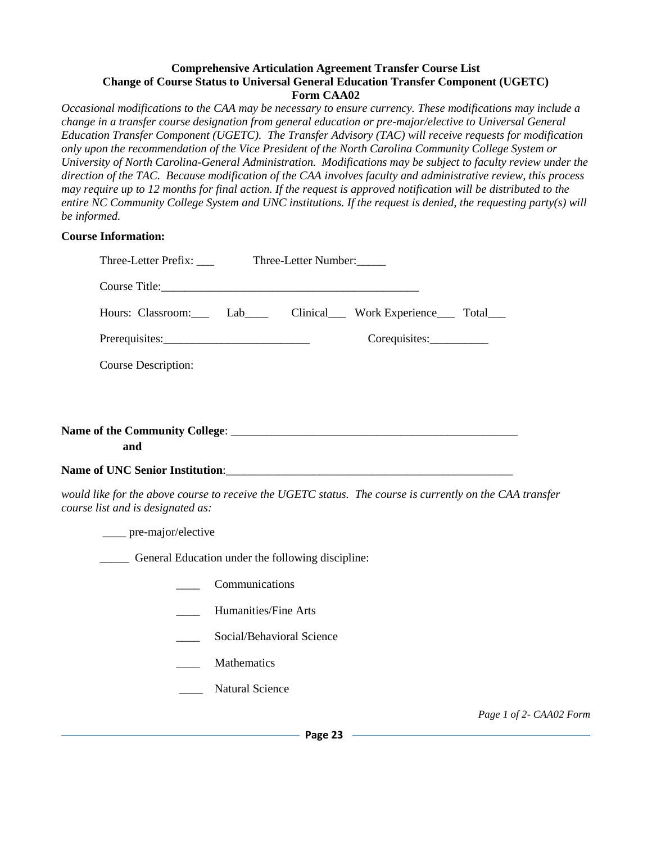#### **Comprehensive Articulation Agreement Transfer Course List Change of Course Status to Universal General Education Transfer Component (UGETC) Form CAA02**

*Occasional modifications to the CAA may be necessary to ensure currency. These modifications may include a change in a transfer course designation from general education or pre-major/elective to Universal General Education Transfer Component (UGETC). The Transfer Advisory (TAC) will receive requests for modification only upon the recommendation of the Vice President of the North Carolina Community College System or University of North Carolina-General Administration. Modifications may be subject to faculty review under the direction of the TAC. Because modification of the CAA involves faculty and administrative review, this process may require up to 12 months for final action. If the request is approved notification will be distributed to the entire NC Community College System and UNC institutions. If the request is denied, the requesting party(s) will be informed.* 

#### **Course Information:**

| Hours: Classroom: Lab Clinical Work Experience Total                                                                                          |
|-----------------------------------------------------------------------------------------------------------------------------------------------|
| Corequisites:                                                                                                                                 |
| Course Description:                                                                                                                           |
|                                                                                                                                               |
|                                                                                                                                               |
| and                                                                                                                                           |
|                                                                                                                                               |
| would like for the above course to receive the UGETC status. The course is currently on the CAA transfer<br>course list and is designated as: |
| ____ pre-major/elective                                                                                                                       |

General Education under the following discipline:

- \_\_\_\_ Communications
- \_\_\_\_ Humanities/Fine Arts
- Social/Behavioral Science
- **Mathematics**
- Natural Science

*Page 1 of 2- CAA02 Form*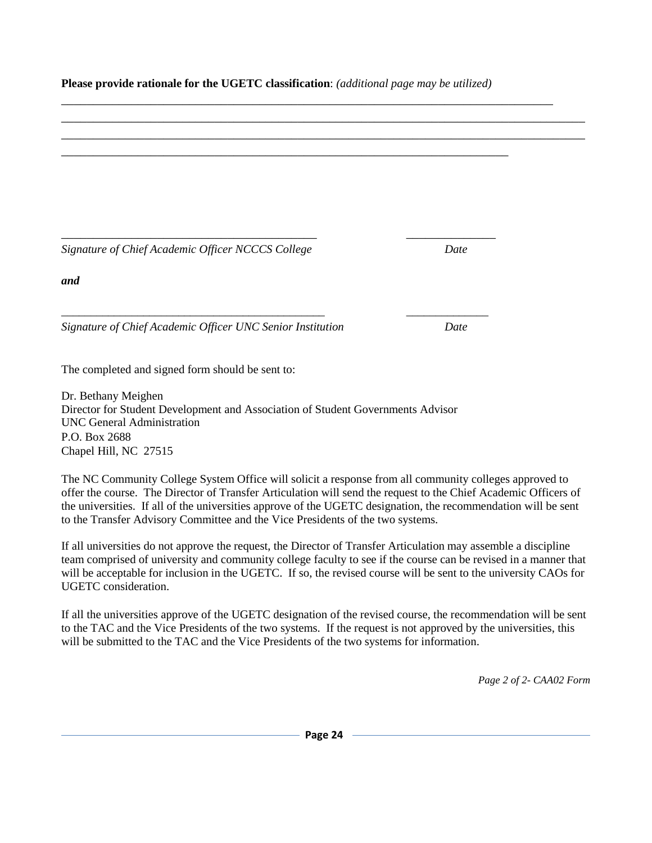**Please provide rationale for the UGETC classification**: *(additional page may be utilized)*

\_\_\_\_\_\_\_\_\_\_\_\_\_\_\_\_\_\_\_\_\_\_\_\_\_\_\_\_\_\_\_\_\_\_\_\_\_\_\_\_\_\_\_\_\_\_\_\_\_\_\_\_\_\_\_\_\_\_\_\_\_\_\_\_\_\_\_\_\_\_

\_\_\_\_\_\_\_\_\_\_\_\_\_\_\_\_\_\_\_\_\_\_\_\_\_\_\_\_\_\_\_\_\_\_\_\_\_\_\_\_ \_\_\_\_\_\_\_\_\_\_\_\_\_\_

\_\_\_\_\_\_\_\_\_\_\_\_\_\_\_\_\_\_\_\_\_\_\_\_\_\_\_\_\_\_\_\_\_\_\_\_\_\_\_\_\_\_\_\_\_ \_\_\_\_\_\_\_\_\_\_\_\_\_\_

\_\_\_\_\_\_\_\_\_\_\_\_\_\_\_\_\_\_\_\_\_\_\_\_\_\_\_\_\_\_\_\_\_\_\_\_\_\_\_\_\_\_\_\_\_\_\_\_\_\_\_\_\_\_\_\_\_\_\_\_\_\_\_\_\_\_\_\_\_\_\_\_\_\_\_\_\_

\_\_\_\_\_\_\_\_\_\_\_\_\_\_\_\_\_\_\_\_\_\_\_\_\_\_\_\_\_\_\_\_\_\_\_\_\_\_\_\_\_\_\_\_\_\_\_\_\_\_\_\_\_\_\_\_\_\_\_\_\_\_\_\_\_\_\_\_\_\_\_\_\_\_\_\_\_\_\_\_\_\_ \_\_\_\_\_\_\_\_\_\_\_\_\_\_\_\_\_\_\_\_\_\_\_\_\_\_\_\_\_\_\_\_\_\_\_\_\_\_\_\_\_\_\_\_\_\_\_\_\_\_\_\_\_\_\_\_\_\_\_\_\_\_\_\_\_\_\_\_\_\_\_\_\_\_\_\_\_\_\_\_\_\_

*Signature of Chief Academic Officer NCCCS College Date*

*and*

*Signature of Chief Academic Officer UNC Senior Institution Date*

The completed and signed form should be sent to:

[Dr. Bethany Meighen](mailto:bdmeighen@northcarolina.edu) Director for Student Development and Association of Student Governments Advisor [UNC General Administration](http://www.northcarolina.edu/) P.O. Box 2688 Chapel Hill, NC 27515

The NC Community College System Office will solicit a response from all community colleges approved to offer the course. The Director of Transfer Articulation will send the request to the Chief Academic Officers of the universities. If all of the universities approve of the UGETC designation, the recommendation will be sent to the Transfer Advisory Committee and the Vice Presidents of the two systems.

If all universities do not approve the request, the Director of Transfer Articulation may assemble a discipline team comprised of university and community college faculty to see if the course can be revised in a manner that will be acceptable for inclusion in the UGETC. If so, the revised course will be sent to the university CAOs for UGETC consideration.

If all the universities approve of the UGETC designation of the revised course, the recommendation will be sent to the TAC and the Vice Presidents of the two systems. If the request is not approved by the universities, this will be submitted to the TAC and the Vice Presidents of the two systems for information.

*Page 2 of 2- CAA02 Form*

**Page 24**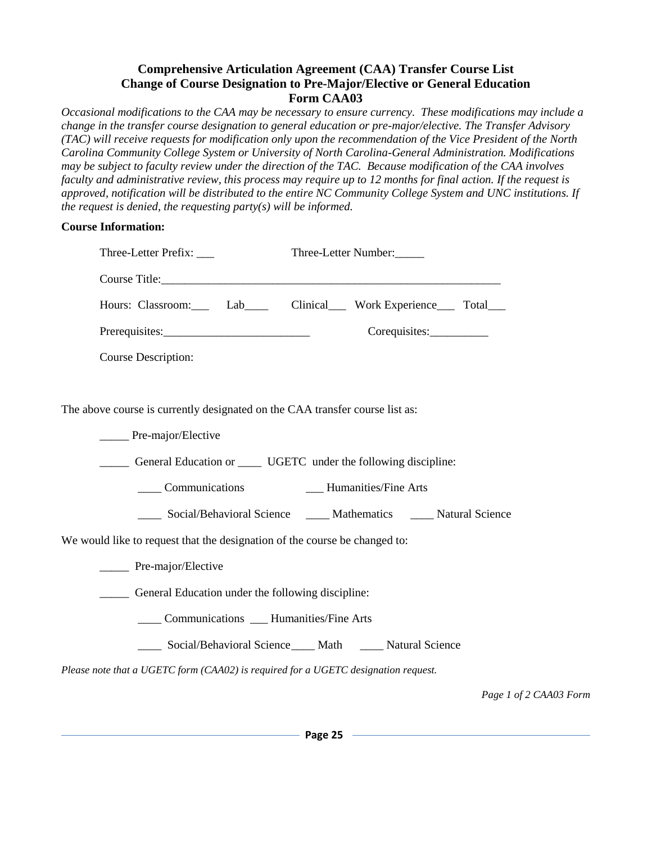### **Comprehensive Articulation Agreement (CAA) Transfer Course List Change of Course Designation to Pre-Major/Elective or General Education Form CAA03**

*Occasional modifications to the CAA may be necessary to ensure currency. These modifications may include a change in the transfer course designation to general education or pre-major/elective. The Transfer Advisory (TAC) will receive requests for modification only upon the recommendation of the Vice President of the North Carolina Community College System or University of North Carolina-General Administration. Modifications may be subject to faculty review under the direction of the TAC. Because modification of the CAA involves faculty and administrative review, this process may require up to 12 months for final action. If the request is approved, notification will be distributed to the entire NC Community College System and UNC institutions. If the request is denied, the requesting party(s) will be informed.* 

#### **Course Information:**

| Three-Letter Prefix: ____                                                          | Three-Letter Number:                                                   |
|------------------------------------------------------------------------------------|------------------------------------------------------------------------|
|                                                                                    |                                                                        |
|                                                                                    | Hours: Classroom: Lab Clinical Work Experience Total                   |
|                                                                                    |                                                                        |
| <b>Course Description:</b>                                                         |                                                                        |
|                                                                                    |                                                                        |
| The above course is currently designated on the CAA transfer course list as:       |                                                                        |
| ______ Pre-major/Elective                                                          |                                                                        |
| _______ General Education or _______ UGETC under the following discipline:         |                                                                        |
|                                                                                    |                                                                        |
|                                                                                    | ____ Social/Behavioral Science _____ Mathematics _____ Natural Science |
| We would like to request that the designation of the course be changed to:         |                                                                        |
| Pre-major/Elective                                                                 |                                                                        |
| _______ General Education under the following discipline:                          |                                                                        |
| _____ Communications ____ Humanities/Fine Arts                                     |                                                                        |
|                                                                                    | ____ Social/Behavioral Science____ Math _____ Natural Science          |
| Please note that a UGETC form (CAA02) is required for a UGETC designation request. |                                                                        |

*Page 1 of 2 CAA03 Form*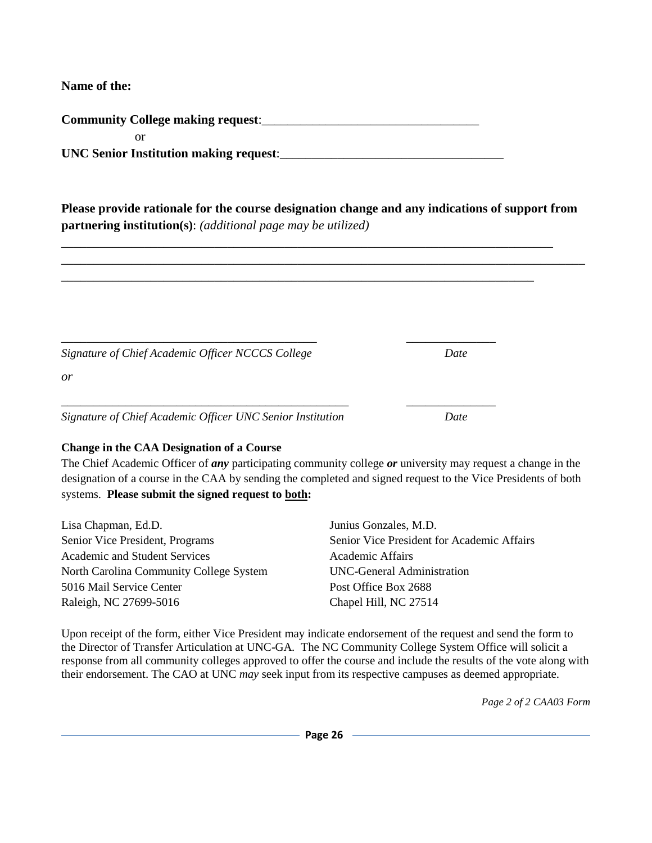**Name of the:**

**Community College making request**:\_\_\_\_\_\_\_\_\_\_\_\_\_\_\_\_\_\_\_\_\_\_\_\_\_\_\_\_\_\_\_\_\_\_

 or UNC Senior Institution making request:

**Please provide rationale for the course designation change and any indications of support from partnering institution(s)**: *(additional page may be utilized)*

\_\_\_\_\_\_\_\_\_\_\_\_\_\_\_\_\_\_\_\_\_\_\_\_\_\_\_\_\_\_\_\_\_\_\_\_\_\_\_\_\_\_\_\_\_\_\_\_\_\_\_\_\_\_\_\_\_\_\_\_\_\_\_\_\_\_\_\_\_\_\_\_\_\_\_\_\_\_\_\_\_\_

\_\_\_\_\_\_\_\_\_\_\_\_\_\_\_\_\_\_\_\_\_\_\_\_\_\_\_\_\_\_\_\_\_\_\_\_\_\_\_\_\_\_\_\_\_\_\_\_\_\_\_\_\_\_\_\_\_\_\_\_\_\_\_\_\_\_\_\_\_\_\_\_\_\_\_\_\_

\_\_\_\_\_\_\_\_\_\_\_\_\_\_\_\_\_\_\_\_\_\_\_\_\_\_\_\_\_\_\_\_\_\_\_\_\_\_\_\_\_\_\_\_\_\_\_\_\_\_\_\_\_\_\_\_\_\_\_\_\_\_\_\_\_\_\_\_\_\_\_\_\_\_

| Signature of Chief Academic Officer NCCCS College          | Date |
|------------------------------------------------------------|------|
| or                                                         |      |
|                                                            |      |
| Signature of Chief Academic Officer UNC Senior Institution | Date |

### **Change in the CAA Designation of a Course**

The Chief Academic Officer of *any* participating community college *or* university may request a change in the designation of a course in the CAA by sending the completed and signed request to the Vice Presidents of both systems. **Please submit the signed request to both:**

| Lisa Chapman, Ed.D.                     | Junius Gonzales, M.D.                      |
|-----------------------------------------|--------------------------------------------|
| Senior Vice President, Programs         | Senior Vice President for Academic Affairs |
| <b>Academic and Student Services</b>    | Academic Affairs                           |
| North Carolina Community College System | UNC-General Administration                 |
| 5016 Mail Service Center                | Post Office Box 2688                       |
| Raleigh, NC 27699-5016                  | Chapel Hill, NC 27514                      |

Upon receipt of the form, either Vice President may indicate endorsement of the request and send the form to the Director of Transfer Articulation at UNC-GA*.* The NC Community College System Office will solicit a response from all community colleges approved to offer the course and include the results of the vote along with their endorsement. The CAO at UNC *may* seek input from its respective campuses as deemed appropriate.

*Page 2 of 2 CAA03 Form*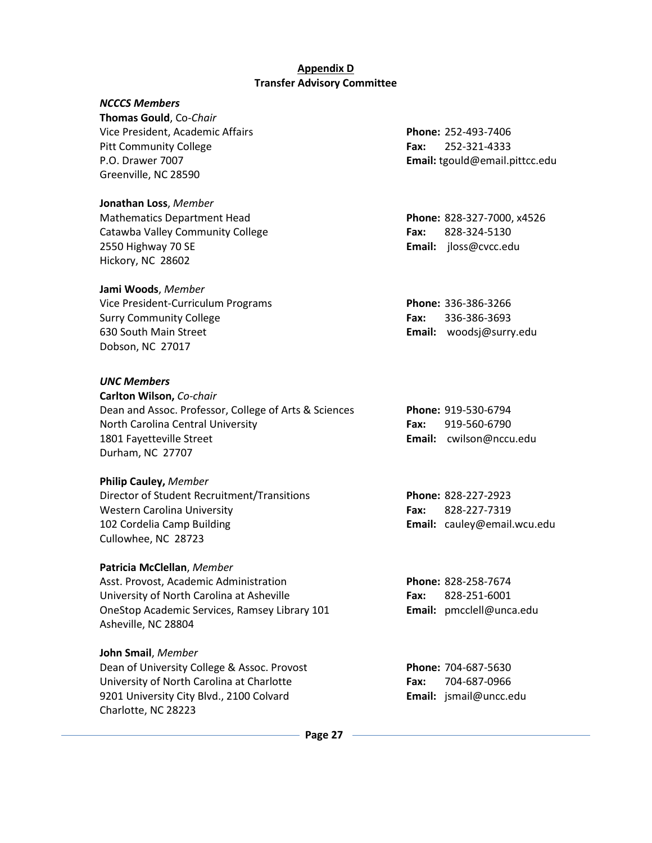#### **Appendix D Transfer Advisory Committee**

#### <span id="page-26-0"></span>*NCCCS Members*

 **Thomas Gould**, Co-*Chair* Vice President, Academic Affairs **Phone:** 252-493-7406 Pitt Community College **Fax:** 252-321-4333 P.O. Drawer 7007 **Email:** tgould@email.pittcc.edu Greenville, NC 28590

**Jonathan Loss**, *Member* Mathematics Department Head **Phone:** 828-327-7000, x4526 Catawba Valley Community College **Fax:** 828-324-5130 2550 Highway 70 SE **Email:** jloss@cvcc.edu Hickory, NC 28602

**Jami Woods**, *Member*

 Vice President-Curriculum Programs **Phone:** 336-386-3266 Surry Community College **Fax:** 336-386-3693 630 South Main Street **Email:** woodsj@surry.edu Dobson, NC 27017

#### *UNC Members*

| Carlton Wilson, Co-chair                              |
|-------------------------------------------------------|
| Dean and Assoc. Professor, College of Arts & Sciences |
| North Carolina Central University                     |
| 1801 Fayetteville Street                              |
| Durham, NC 27707                                      |

#### **Philip Cauley,** *Member*

 Director of Student Recruitment/Transitions **Phone:** 828-227-2923 Western Carolina University **Fax:** 828-227-7319 102 Cordelia Camp Building **Email:** cauley@email.wcu.edu Cullowhee, NC 28723

#### **Patricia McClellan**, *Member*

Asst. Provost, Academic Administration **Phone:** 828-258-7674 University of North Carolina at Asheville **Fax:** 828-251-6001 OneStop Academic Services, Ramsey Library 101 **Email:** pmcclell@unca.edu Asheville, NC 28804

#### **John Smail**, *Member*

Dean of University College & Assoc. Provost **Phone:** 704-687-5630 University of North Carolina at Charlotte **Fax:** 704-687-0966 9201 University City Blvd., 2100 Colvard **Email:** jsmail@uncc.edu Charlotte, NC 28223

Phone: 919-530-6794 Fax: 919-560-6790 1801 Fayetteville Street **Email:** cwilson@nccu.edu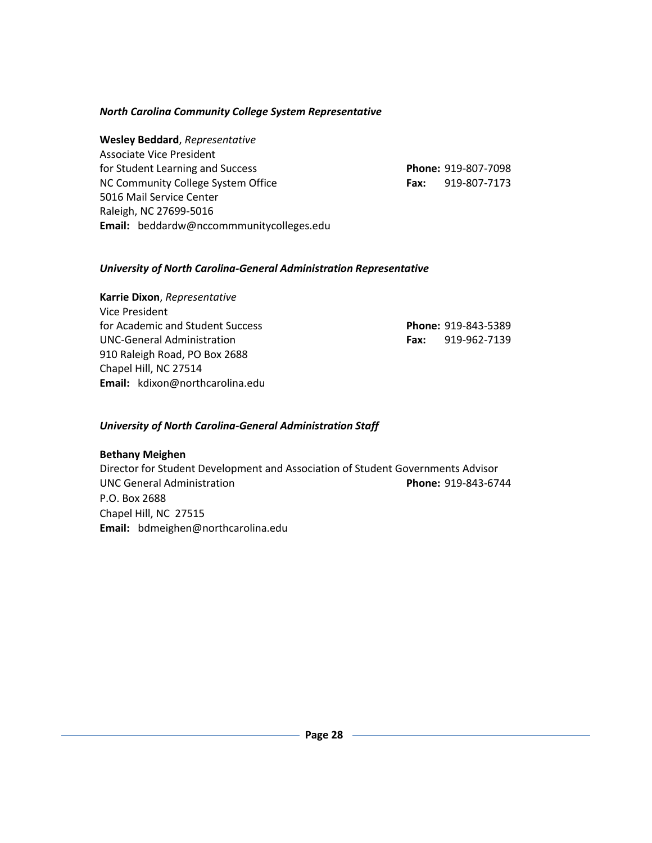### *North Carolina Community College System Representative*

**Wesley Beddard**, *Representative* Associate Vice President for Student Learning and Success **Phone:** 919-807-7098 NC Community College System Office **Fax:** 919-807-7173 5016 Mail Service Center Raleigh, NC 27699-5016 **Email:**beddardw@nccommmunitycolleges.edu

#### *University of North Carolina-General Administration Representative*

#### **Karrie Dixon**, *Representative*

Vice President for Academic and Student Success **UNC-General Administration** 910 Raleigh Road, PO Box 2688 Chapel Hill, NC 27514 **Email:** kdixon@northcarolina.edu

|             | <b>Phone: 919-843-5389</b> |
|-------------|----------------------------|
| <b>Fax:</b> | 919-962-7139               |

#### *University of North Carolina-General Administration Staff*

#### **[Bethany Meighen](mailto:bdmeighen@northcarolina.edu)**

<span id="page-27-0"></span>Director for Student Development and Association of Student Governments Advisor [UNC General Administration](http://www.northcarolina.edu/) **Phone:** 919-843-6744 P.O. Box 2688 Chapel Hill, NC 27515 **Email:** bdmeighen@northcarolina.edu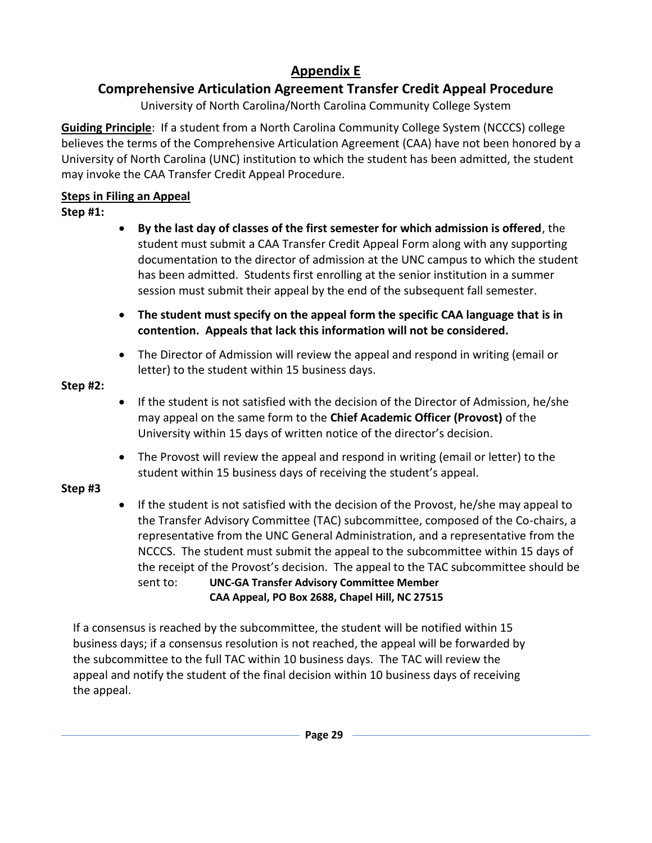# **Appendix E**

# **Comprehensive Articulation Agreement Transfer Credit Appeal Procedure**

University of North Carolina/North Carolina Community College System

**Guiding Principle**: If a student from a North Carolina Community College System (NCCCS) college believes the terms of the Comprehensive Articulation Agreement (CAA) have not been honored by a University of North Carolina (UNC) institution to which the student has been admitted, the student may invoke the CAA Transfer Credit Appeal Procedure.

## **Steps in Filing an Appeal**

### **Step #1:**

- **By the last day of classes of the first semester for which admission is offered**, the student must submit a CAA Transfer Credit Appeal Form along with any supporting documentation to the director of admission at the UNC campus to which the student has been admitted. Students first enrolling at the senior institution in a summer session must submit their appeal by the end of the subsequent fall semester.
- **The student must specify on the appeal form the specific CAA language that is in contention. Appeals that lack this information will not be considered.**
- The Director of Admission will review the appeal and respond in writing (email or letter) to the student within 15 business days.

### **Step #2:**

- If the student is not satisfied with the decision of the Director of Admission, he/she may appeal on the same form to the **Chief Academic Officer (Provost)** of the University within 15 days of written notice of the director's decision.
- The Provost will review the appeal and respond in writing (email or letter) to the student within 15 business days of receiving the student's appeal.

## **Step #3**

 If the student is not satisfied with the decision of the Provost, he/she may appeal to the Transfer Advisory Committee (TAC) subcommittee, composed of the Co-chairs, a representative from the UNC General Administration, and a representative from the NCCCS. The student must submit the appeal to the subcommittee within 15 days of the receipt of the Provost's decision. The appeal to the TAC subcommittee should be sent to: **UNC-GA Transfer Advisory Committee Member**

 **CAA Appeal, PO Box 2688, Chapel Hill, NC 27515**

 If a consensus is reached by the subcommittee, the student will be notified within 15 business days; if a consensus resolution is not reached, the appeal will be forwarded by the subcommittee to the full TAC within 10 business days. The TAC will review the appeal and notify the student of the final decision within 10 business days of receiving the appeal.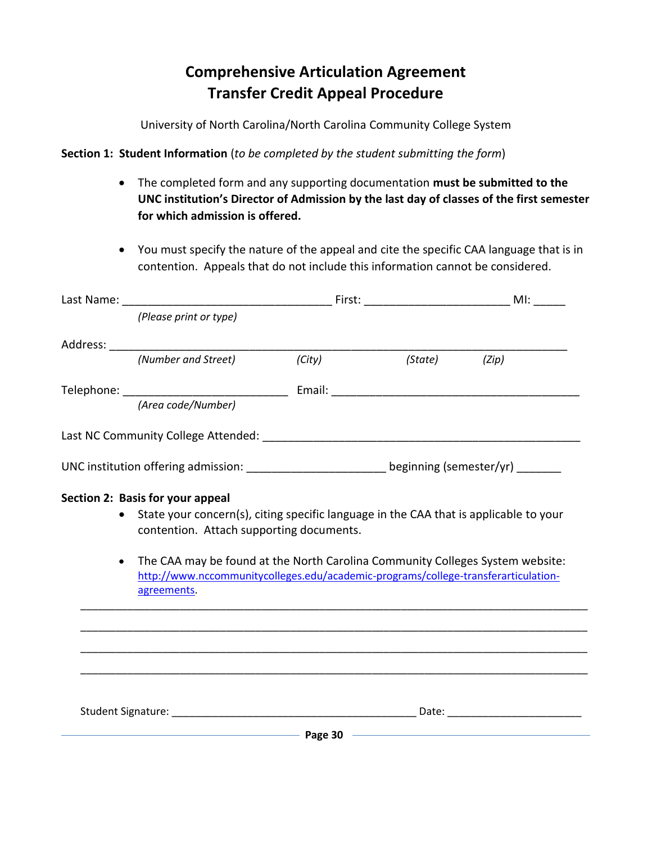# **Comprehensive Articulation Agreement Transfer Credit Appeal Procedure**

University of North Carolina/North Carolina Community College System

**Section 1: Student Information** (*to be completed by the student submitting the form*)

- The completed form and any supporting documentation **must be submitted to the UNC institution's Director of Admission by the last day of classes of the first semester for which admission is offered.**
- <span id="page-29-0"></span> You must specify the nature of the appeal and cite the specific CAA language that is in contention. Appeals that do not include this information cannot be considered.

|           | (Please print or type)                                                                                                                                                                                                           |         |       |
|-----------|----------------------------------------------------------------------------------------------------------------------------------------------------------------------------------------------------------------------------------|---------|-------|
|           |                                                                                                                                                                                                                                  |         |       |
|           |                                                                                                                                                                                                                                  | (State) | (Zip) |
|           |                                                                                                                                                                                                                                  |         |       |
|           | (Area code/Number)                                                                                                                                                                                                               |         |       |
|           |                                                                                                                                                                                                                                  |         |       |
|           | UNC institution offering admission: ________________________ beginning (semester/yr) _______                                                                                                                                     |         |       |
|           | Section 2: Basis for your appeal<br>State your concern(s), citing specific language in the CAA that is applicable to your                                                                                                        |         |       |
|           | contention. Attach supporting documents.                                                                                                                                                                                         |         |       |
| $\bullet$ | The CAA may be found at the North Carolina Community Colleges System website:<br>http://www.nccommunitycolleges.edu/academic-programs/college-transferarticulation-<br>agreements.                                               |         |       |
|           |                                                                                                                                                                                                                                  |         |       |
|           |                                                                                                                                                                                                                                  |         |       |
|           |                                                                                                                                                                                                                                  |         |       |
|           |                                                                                                                                                                                                                                  |         |       |
|           |                                                                                                                                                                                                                                  |         |       |
|           | <b>Page 30 Constant Constant Page 20 Constant Constant Constant Constant Constant Constant Constant Constant Constant Constant Constant Constant Constant Constant Constant Constant Constant Constant Constant Constant Con</b> |         |       |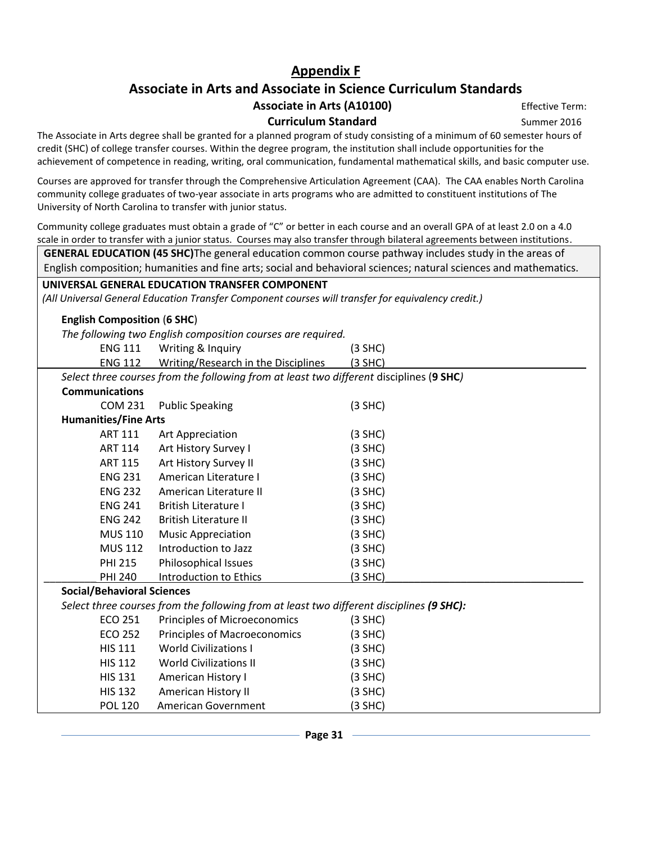## **Appendix F**

## **Associate in Arts and Associate in Science Curriculum Standards**

### Associate in Arts (A10100) **Effective Term:**

**Curriculum Standard** Summer 2016

The Associate in Arts degree shall be granted for a planned program of study consisting of a minimum of 60 semester hours of credit (SHC) of college transfer courses. Within the degree program, the institution shall include opportunities for the achievement of competence in reading, writing, oral communication, fundamental mathematical skills, and basic computer use.

Courses are approved for transfer through the Comprehensive Articulation Agreement (CAA). The CAA enables North Carolina community college graduates of two-year associate in arts programs who are admitted to constituent institutions of The University of North Carolina to transfer with junior status.

Community college graduates must obtain a grade of "C" or better in each course and an overall GPA of at least 2.0 on a 4.0 scale in order to transfer with a junior status. Courses may also transfer through bilateral agreements between institutions.

**GENERAL EDUCATION (45 SHC)**The general education common course pathway includes study in the areas of English composition; humanities and fine arts; social and behavioral sciences; natural sciences and mathematics.

#### **UNIVERSAL GENERAL EDUCATION TRANSFER COMPONENT**

*(All Universal General Education Transfer Component courses will transfer for equivalency credit.)*

#### **English Composition** (**6 SHC**)

*The following two English composition courses are required.*

|                                   | nic jonowing two English composition courses are regalled.                               |           |
|-----------------------------------|------------------------------------------------------------------------------------------|-----------|
| <b>ENG 111</b>                    | Writing & Inquiry                                                                        | $(3$ SHC) |
| <b>ENG 112</b>                    | Writing/Research in the Disciplines                                                      | (3 SHC)   |
|                                   | Select three courses from the following from at least two different disciplines (9 SHC)  |           |
| <b>Communications</b>             |                                                                                          |           |
| <b>COM 231</b>                    | <b>Public Speaking</b>                                                                   | $(3$ SHC) |
| <b>Humanities/Fine Arts</b>       |                                                                                          |           |
| <b>ART 111</b>                    | Art Appreciation                                                                         | $(3$ SHC) |
| <b>ART 114</b>                    | Art History Survey I                                                                     | (3 SHC)   |
| <b>ART 115</b>                    | Art History Survey II                                                                    | $(3$ SHC) |
| <b>ENG 231</b>                    | American Literature I                                                                    | $(3$ SHC) |
| <b>ENG 232</b>                    | American Literature II                                                                   | $(3$ SHC) |
| <b>ENG 241</b>                    | British Literature I                                                                     | (3 SHC)   |
| <b>ENG 242</b>                    | <b>British Literature II</b>                                                             | $(3$ SHC) |
| <b>MUS 110</b>                    | <b>Music Appreciation</b>                                                                | (3 SHC)   |
| <b>MUS 112</b>                    | Introduction to Jazz                                                                     | $(3$ SHC) |
| <b>PHI 215</b>                    | Philosophical Issues                                                                     | $(3$ SHC) |
| <b>PHI 240</b>                    | Introduction to Ethics                                                                   | (3 SHC)   |
| <b>Social/Behavioral Sciences</b> |                                                                                          |           |
|                                   | Select three courses from the following from at least two different disciplines (9 SHC): |           |
| <b>ECO 251</b>                    | Principles of Microeconomics                                                             | $(3$ SHC) |
| ECO 252                           | Principles of Macroeconomics                                                             | $(3$ SHC) |
| <b>HIS 111</b>                    | <b>World Civilizations I</b>                                                             | $(3$ SHC) |
| <b>HIS 112</b>                    | <b>World Civilizations II</b>                                                            | $(3$ SHC) |
| <b>HIS 131</b>                    | American History I                                                                       | (3 SHC)   |
| <b>HIS 132</b>                    | American History II                                                                      | $(3$ SHC) |
| <b>POL 120</b>                    | <b>American Government</b>                                                               | $(3$ SHC) |
|                                   |                                                                                          |           |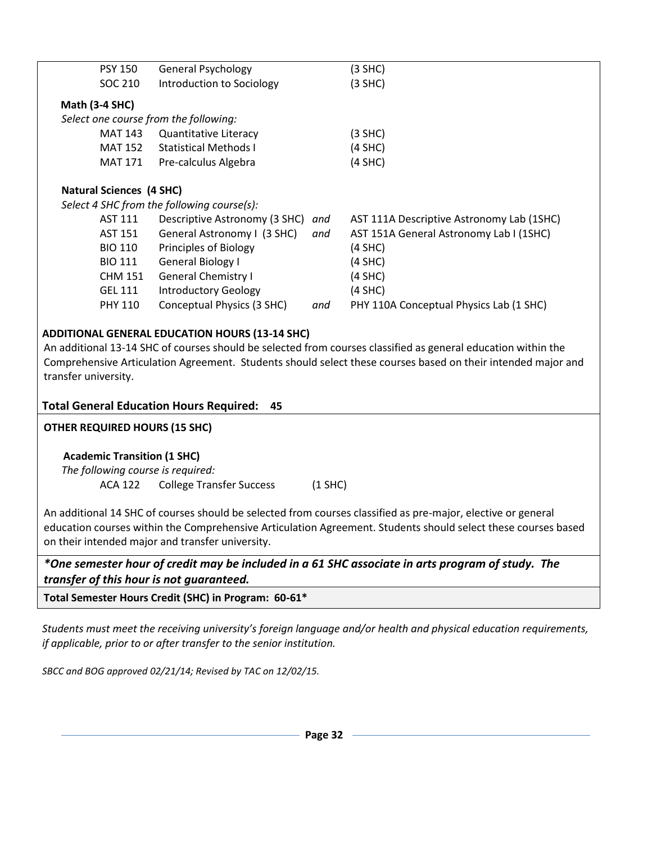| <b>PSY 150</b>                                                                                                                                                                                                                                                                                                                                                         | <b>General Psychology</b>                  |     | $(3$ SHC)                                 |  |  |  |
|------------------------------------------------------------------------------------------------------------------------------------------------------------------------------------------------------------------------------------------------------------------------------------------------------------------------------------------------------------------------|--------------------------------------------|-----|-------------------------------------------|--|--|--|
| SOC 210                                                                                                                                                                                                                                                                                                                                                                | Introduction to Sociology                  |     | $(3$ SHC)                                 |  |  |  |
|                                                                                                                                                                                                                                                                                                                                                                        |                                            |     |                                           |  |  |  |
| <b>Math (3-4 SHC)</b>                                                                                                                                                                                                                                                                                                                                                  |                                            |     |                                           |  |  |  |
| Select one course from the following:                                                                                                                                                                                                                                                                                                                                  |                                            |     |                                           |  |  |  |
| <b>MAT 143</b>                                                                                                                                                                                                                                                                                                                                                         | Quantitative Literacy                      |     | $(3$ SHC)                                 |  |  |  |
| <b>MAT 152</b>                                                                                                                                                                                                                                                                                                                                                         | <b>Statistical Methods I</b>               |     | $(4$ SHC)                                 |  |  |  |
| <b>MAT 171</b>                                                                                                                                                                                                                                                                                                                                                         | Pre-calculus Algebra                       |     | $(4$ SHC)                                 |  |  |  |
| <b>Natural Sciences (4 SHC)</b>                                                                                                                                                                                                                                                                                                                                        |                                            |     |                                           |  |  |  |
|                                                                                                                                                                                                                                                                                                                                                                        | Select 4 SHC from the following course(s): |     |                                           |  |  |  |
| AST 111                                                                                                                                                                                                                                                                                                                                                                | Descriptive Astronomy (3 SHC)              | and | AST 111A Descriptive Astronomy Lab (1SHC) |  |  |  |
| <b>AST 151</b>                                                                                                                                                                                                                                                                                                                                                         | General Astronomy I (3 SHC)                | and | AST 151A General Astronomy Lab I (1SHC)   |  |  |  |
| <b>BIO 110</b>                                                                                                                                                                                                                                                                                                                                                         | Principles of Biology                      |     | $(4$ SHC)                                 |  |  |  |
| <b>BIO 111</b>                                                                                                                                                                                                                                                                                                                                                         | <b>General Biology I</b>                   |     | $(4$ SHC)                                 |  |  |  |
| <b>CHM 151</b>                                                                                                                                                                                                                                                                                                                                                         | <b>General Chemistry I</b>                 |     | $(4$ SHC)                                 |  |  |  |
| <b>GEL 111</b>                                                                                                                                                                                                                                                                                                                                                         | <b>Introductory Geology</b>                |     | $(4$ SHC)                                 |  |  |  |
| <b>PHY 110</b>                                                                                                                                                                                                                                                                                                                                                         | Conceptual Physics (3 SHC)                 | and | PHY 110A Conceptual Physics Lab (1 SHC)   |  |  |  |
| <b>ADDITIONAL GENERAL EDUCATION HOURS (13-14 SHC)</b><br>An additional 13-14 SHC of courses should be selected from courses classified as general education within the<br>Comprehensive Articulation Agreement. Students should select these courses based on their intended major and<br>transfer university.<br><b>Total General Education Hours Required:</b><br>45 |                                            |     |                                           |  |  |  |
| <b>OTHER REQUIRED HOURS (15 SHC)</b>                                                                                                                                                                                                                                                                                                                                   |                                            |     |                                           |  |  |  |
|                                                                                                                                                                                                                                                                                                                                                                        |                                            |     |                                           |  |  |  |
| <b>Academic Transition (1 SHC)</b><br>The following course is required:<br><b>College Transfer Success</b><br>$(1$ SHC)<br><b>ACA 122</b>                                                                                                                                                                                                                              |                                            |     |                                           |  |  |  |
| An additional 14 SHC of courses should be selected from courses classified as pre-major, elective or general<br>education courses within the Comprehensive Articulation Agreement. Students should select these courses based<br>on their intended major and transfer university.                                                                                      |                                            |     |                                           |  |  |  |
| *One semester hour of credit may be included in a 61 SHC associate in arts program of study. The<br>transfer of this hour is not guaranteed.                                                                                                                                                                                                                           |                                            |     |                                           |  |  |  |

**Total Semester Hours Credit (SHC) in Program: 60-61\***

*Students must meet the receiving university's foreign language and/or health and physical education requirements, if applicable, prior to or after transfer to the senior institution.*

*SBCC and BOG approved 02/21/14; Revised by TAC on 12/02/15.*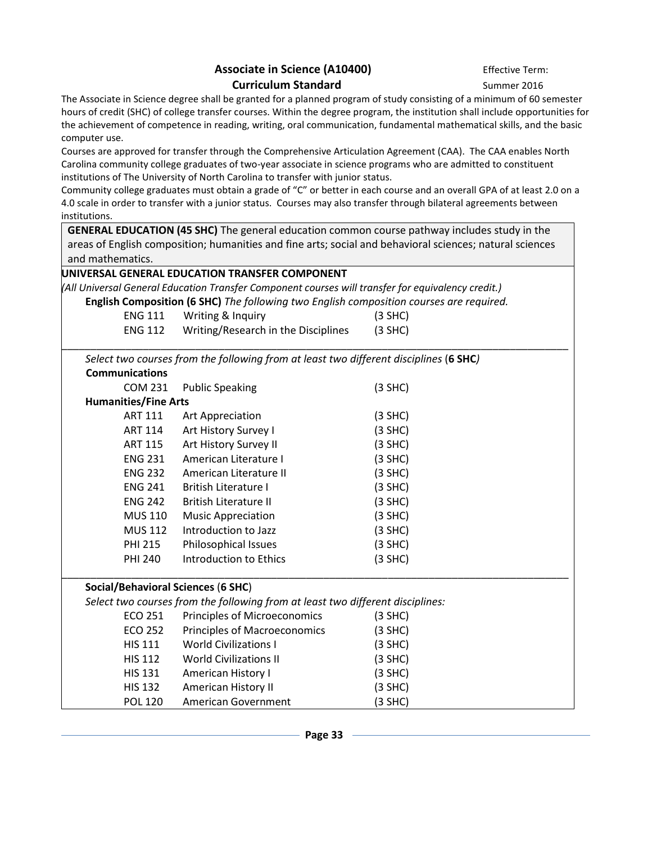### Associate in Science (A10400) **Effective Term: Curriculum Standard** Summer 2016

The Associate in Science degree shall be granted for a planned program of study consisting of a minimum of 60 semester hours of credit (SHC) of college transfer courses. Within the degree program, the institution shall include opportunities for the achievement of competence in reading, writing, oral communication, fundamental mathematical skills, and the basic computer use.

Courses are approved for transfer through the Comprehensive Articulation Agreement (CAA). The CAA enables North Carolina community college graduates of two-year associate in science programs who are admitted to constituent institutions of The University of North Carolina to transfer with junior status.

Community college graduates must obtain a grade of "C" or better in each course and an overall GPA of at least 2.0 on a 4.0 scale in order to transfer with a junior status. Courses may also transfer through bilateral agreements between institutions.

**GENERAL EDUCATION (45 SHC)** The general education common course pathway includes study in the areas of English composition; humanities and fine arts; social and behavioral sciences; natural sciences and mathematics.

|                                                                                                                             | UNIVERSAL GENERAL EDUCATION TRANSFER COMPONENT                                        |           |  |  |  |  |
|-----------------------------------------------------------------------------------------------------------------------------|---------------------------------------------------------------------------------------|-----------|--|--|--|--|
| (All Universal General Education Transfer Component courses will transfer for equivalency credit.)                          |                                                                                       |           |  |  |  |  |
| English Composition (6 SHC) The following two English composition courses are required.                                     |                                                                                       |           |  |  |  |  |
| <b>ENG 111</b>                                                                                                              | Writing & Inquiry                                                                     | $(3$ SHC) |  |  |  |  |
| <b>ENG 112</b>                                                                                                              | Writing/Research in the Disciplines                                                   | $(3$ SHC) |  |  |  |  |
|                                                                                                                             |                                                                                       |           |  |  |  |  |
|                                                                                                                             | Select two courses from the following from at least two different disciplines (6 SHC) |           |  |  |  |  |
| <b>Communications</b>                                                                                                       |                                                                                       |           |  |  |  |  |
| <b>COM 231</b>                                                                                                              | <b>Public Speaking</b>                                                                | $(3$ SHC) |  |  |  |  |
| <b>Humanities/Fine Arts</b>                                                                                                 |                                                                                       |           |  |  |  |  |
| <b>ART 111</b>                                                                                                              | Art Appreciation                                                                      | $(3$ SHC) |  |  |  |  |
| <b>ART 114</b>                                                                                                              | Art History Survey I                                                                  | $(3$ SHC) |  |  |  |  |
| <b>ART 115</b>                                                                                                              | Art History Survey II                                                                 | $(3$ SHC) |  |  |  |  |
| <b>ENG 231</b>                                                                                                              | American Literature I                                                                 | $(3$ SHC) |  |  |  |  |
| <b>ENG 232</b>                                                                                                              | American Literature II                                                                | $(3$ SHC) |  |  |  |  |
| <b>ENG 241</b>                                                                                                              | <b>British Literature I</b>                                                           | $(3$ SHC) |  |  |  |  |
| <b>ENG 242</b>                                                                                                              | <b>British Literature II</b>                                                          | $(3$ SHC) |  |  |  |  |
| <b>MUS 110</b>                                                                                                              | <b>Music Appreciation</b>                                                             | $(3$ SHC) |  |  |  |  |
| <b>MUS 112</b>                                                                                                              | Introduction to Jazz                                                                  | $(3$ SHC) |  |  |  |  |
| <b>PHI 215</b>                                                                                                              | Philosophical Issues                                                                  | $(3$ SHC) |  |  |  |  |
| <b>PHI 240</b>                                                                                                              | Introduction to Ethics                                                                | $(3$ SHC) |  |  |  |  |
|                                                                                                                             |                                                                                       |           |  |  |  |  |
| <b>Social/Behavioral Sciences (6 SHC)</b><br>Select two courses from the following from at least two different disciplines: |                                                                                       |           |  |  |  |  |
| ECO 251                                                                                                                     | Principles of Microeconomics                                                          | $(3$ SHC) |  |  |  |  |
| <b>ECO 252</b>                                                                                                              | <b>Principles of Macroeconomics</b>                                                   | $(3$ SHC) |  |  |  |  |
| <b>HIS 111</b>                                                                                                              | <b>World Civilizations I</b>                                                          | $(3$ SHC) |  |  |  |  |
| <b>HIS 112</b>                                                                                                              | <b>World Civilizations II</b>                                                         | $(3$ SHC) |  |  |  |  |
| <b>HIS 131</b>                                                                                                              | American History I                                                                    | $(3$ SHC) |  |  |  |  |
| <b>HIS 132</b>                                                                                                              | American History II                                                                   | $(3$ SHC) |  |  |  |  |
| <b>POL 120</b>                                                                                                              | <b>American Government</b>                                                            | $(3$ SHC) |  |  |  |  |
|                                                                                                                             |                                                                                       |           |  |  |  |  |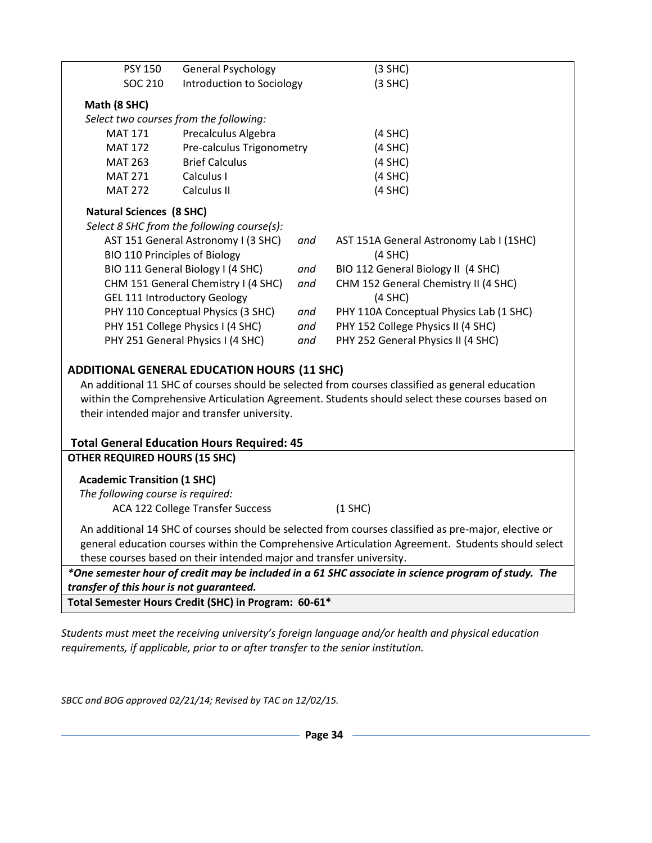| <b>PSY 150</b>                                                                                       | <b>General Psychology</b>                         |                                    | $(3$ SHC)                                                                                                                                                                                         |  |  |  |  |
|------------------------------------------------------------------------------------------------------|---------------------------------------------------|------------------------------------|---------------------------------------------------------------------------------------------------------------------------------------------------------------------------------------------------|--|--|--|--|
| <b>SOC 210</b>                                                                                       | Introduction to Sociology                         |                                    | $(3$ SHC)                                                                                                                                                                                         |  |  |  |  |
| Math (8 SHC)                                                                                         |                                                   |                                    |                                                                                                                                                                                                   |  |  |  |  |
| Select two courses from the following:                                                               |                                                   |                                    |                                                                                                                                                                                                   |  |  |  |  |
| <b>MAT 171</b>                                                                                       | Precalculus Algebra                               |                                    | $(4$ SHC)                                                                                                                                                                                         |  |  |  |  |
| <b>MAT 172</b>                                                                                       | Pre-calculus Trigonometry                         |                                    | $(4$ SHC)                                                                                                                                                                                         |  |  |  |  |
| <b>MAT 263</b>                                                                                       | <b>Brief Calculus</b>                             |                                    | $(4$ SHC)                                                                                                                                                                                         |  |  |  |  |
| <b>MAT 271</b>                                                                                       | Calculus I                                        |                                    | $(4$ SHC)                                                                                                                                                                                         |  |  |  |  |
| <b>MAT 272</b>                                                                                       | Calculus II                                       |                                    | $(4$ SHC)                                                                                                                                                                                         |  |  |  |  |
| <b>Natural Sciences (8 SHC)</b>                                                                      |                                                   |                                    |                                                                                                                                                                                                   |  |  |  |  |
| Select 8 SHC from the following course(s):                                                           |                                                   |                                    |                                                                                                                                                                                                   |  |  |  |  |
|                                                                                                      | AST 151 General Astronomy I (3 SHC)               | and                                | AST 151A General Astronomy Lab I (1SHC)                                                                                                                                                           |  |  |  |  |
|                                                                                                      | <b>BIO 110 Principles of Biology</b>              |                                    | $(4$ SHC)                                                                                                                                                                                         |  |  |  |  |
| BIO 111 General Biology I (4 SHC)<br>and                                                             |                                                   | BIO 112 General Biology II (4 SHC) |                                                                                                                                                                                                   |  |  |  |  |
|                                                                                                      | CHM 151 General Chemistry I (4 SHC)               | and                                | CHM 152 General Chemistry II (4 SHC)                                                                                                                                                              |  |  |  |  |
| <b>GEL 111 Introductory Geology</b>                                                                  |                                                   |                                    | $(4$ SHC)                                                                                                                                                                                         |  |  |  |  |
| PHY 110 Conceptual Physics (3 SHC)                                                                   |                                                   | and                                | PHY 110A Conceptual Physics Lab (1 SHC)                                                                                                                                                           |  |  |  |  |
| PHY 151 College Physics I (4 SHC)                                                                    |                                                   | and                                | PHY 152 College Physics II (4 SHC)                                                                                                                                                                |  |  |  |  |
|                                                                                                      | PHY 251 General Physics I (4 SHC)                 | and                                | PHY 252 General Physics II (4 SHC)                                                                                                                                                                |  |  |  |  |
| <b>ADDITIONAL GENERAL EDUCATION HOURS (11 SHC)</b>                                                   |                                                   |                                    |                                                                                                                                                                                                   |  |  |  |  |
|                                                                                                      |                                                   |                                    |                                                                                                                                                                                                   |  |  |  |  |
|                                                                                                      |                                                   |                                    | An additional 11 SHC of courses should be selected from courses classified as general education<br>within the Comprehensive Articulation Agreement. Students should select these courses based on |  |  |  |  |
|                                                                                                      |                                                   |                                    |                                                                                                                                                                                                   |  |  |  |  |
| their intended major and transfer university.                                                        |                                                   |                                    |                                                                                                                                                                                                   |  |  |  |  |
|                                                                                                      | <b>Total General Education Hours Required: 45</b> |                                    |                                                                                                                                                                                                   |  |  |  |  |
| <b>OTHER REQUIRED HOURS (15 SHC)</b>                                                                 |                                                   |                                    |                                                                                                                                                                                                   |  |  |  |  |
|                                                                                                      |                                                   |                                    |                                                                                                                                                                                                   |  |  |  |  |
| <b>Academic Transition (1 SHC)</b>                                                                   |                                                   |                                    |                                                                                                                                                                                                   |  |  |  |  |
| The following course is required:                                                                    |                                                   |                                    |                                                                                                                                                                                                   |  |  |  |  |
|                                                                                                      | <b>ACA 122 College Transfer Success</b>           |                                    | $(1$ SHC)                                                                                                                                                                                         |  |  |  |  |
| An additional 14 SHC of courses should be selected from courses classified as pre-major, elective or |                                                   |                                    |                                                                                                                                                                                                   |  |  |  |  |
| general education courses within the Comprehensive Articulation Agreement. Students should select    |                                                   |                                    |                                                                                                                                                                                                   |  |  |  |  |
| these courses based on their intended major and transfer university.                                 |                                                   |                                    |                                                                                                                                                                                                   |  |  |  |  |
| *One semester hour of credit may be included in a 61 SHC associate in science program of study. The  |                                                   |                                    |                                                                                                                                                                                                   |  |  |  |  |
| transfer of this hour is not guaranteed.                                                             |                                                   |                                    |                                                                                                                                                                                                   |  |  |  |  |
| Total Semester Hours Credit (SHC) in Program: 60-61*                                                 |                                                   |                                    |                                                                                                                                                                                                   |  |  |  |  |

*Students must meet the receiving university's foreign language and/or health and physical education requirements, if applicable, prior to or after transfer to the senior institution.*

*SBCC and BOG approved 02/21/14; Revised by TAC on 12/02/15.*